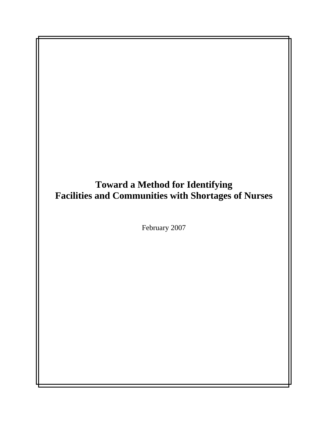**Toward a Method for Identifying Facilities and Communities with Shortages of Nurses** 

February 2007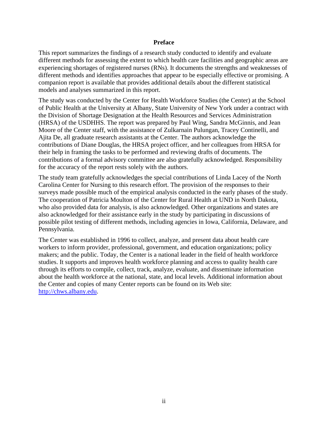#### **Preface**

This report summarizes the findings of a research study conducted to identify and evaluate different methods for assessing the extent to which health care facilities and geographic areas are experiencing shortages of registered nurses (RNs). It documents the strengths and weaknesses of different methods and identifies approaches that appear to be especially effective or promising. A companion report is available that provides additional details about the different statistical models and analyses summarized in this report.

The study was conducted by the Center for Health Workforce Studies (the Center) at the School of Public Health at the University at Albany, State University of New York under a contract with the Division of Shortage Designation at the Health Resources and Services Administration (HRSA) of the USDHHS. The report was prepared by Paul Wing, Sandra McGinnis, and Jean Moore of the Center staff, with the assistance of Zulkarnain Pulungan, Tracey Continelli, and Ajita De, all graduate research assistants at the Center. The authors acknowledge the contributions of Diane Douglas, the HRSA project officer, and her colleagues from HRSA for their help in framing the tasks to be performed and reviewing drafts of documents. The contributions of a formal advisory committee are also gratefully acknowledged. Responsibility for the accuracy of the report rests solely with the authors.

The study team gratefully acknowledges the special contributions of Linda Lacey of the North Carolina Center for Nursing to this research effort. The provision of the responses to their surveys made possible much of the empirical analysis conducted in the early phases of the study. The cooperation of Patricia Moulton of the Center for Rural Health at UND in North Dakota, who also provided data for analysis, is also acknowledged. Other organizations and states are also acknowledged for their assistance early in the study by participating in discussions of possible pilot testing of different methods, including agencies in Iowa, California, Delaware, and Pennsylvania.

The Center was established in 1996 to collect, analyze, and present data about health care workers to inform provider, professional, government, and education organizations; policy makers; and the public. Today, the Center is a national leader in the field of health workforce studies. It supports and improves health workforce planning and access to quality health care through its efforts to compile, collect, track, analyze, evaluate, and disseminate information about the health workforce at the national, state, and local levels. Additional information about the Center and copies of many Center reports can be found on its Web site: [http://chws.albany.edu.](http://chws.albany.edu/)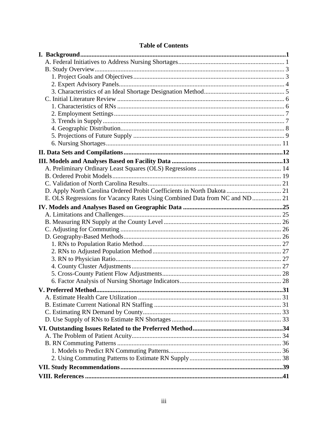| D. Apply North Carolina Ordered Probit Coefficients in North Dakota  21 |     |
|-------------------------------------------------------------------------|-----|
|                                                                         |     |
|                                                                         |     |
|                                                                         |     |
|                                                                         |     |
|                                                                         |     |
|                                                                         |     |
|                                                                         |     |
|                                                                         |     |
|                                                                         |     |
|                                                                         |     |
|                                                                         |     |
|                                                                         |     |
| V. Preferred Method.                                                    | .31 |
|                                                                         |     |
|                                                                         |     |
|                                                                         |     |
|                                                                         |     |
|                                                                         |     |
|                                                                         |     |
|                                                                         |     |
|                                                                         |     |
|                                                                         |     |
|                                                                         |     |
|                                                                         |     |

# **Table of Contents**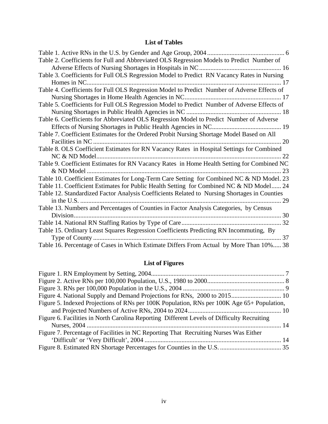# **List of Tables**

| Table 2. Coefficients for Full and Abbreviated OLS Regression Models to Predict Number of    |
|----------------------------------------------------------------------------------------------|
|                                                                                              |
| Table 3. Coefficients for Full OLS Regression Model to Predict RN Vacancy Rates in Nursing   |
| Homes in NC                                                                                  |
| Table 4. Coefficients for Full OLS Regression Model to Predict Number of Adverse Effects of  |
|                                                                                              |
| Table 5. Coefficients for Full OLS Regression Model to Predict Number of Adverse Effects of  |
|                                                                                              |
| Table 6. Coefficients for Abbreviated OLS Regression Model to Predict Number of Adverse      |
|                                                                                              |
| Table 7. Coefficient Estimates for the Ordered Probit Nursing Shortage Model Based on All    |
|                                                                                              |
| Table 8. OLS Coefficient Estimates for RN Vacancy Rates in Hospital Settings for Combined    |
| 22                                                                                           |
| Table 9. Coefficient Estimates for RN Vacancy Rates in Home Health Setting for Combined NC   |
| 23                                                                                           |
| Table 10. Coefficient Estimates for Long-Term Care Setting for Combined NC & ND Model. 23    |
| Table 11. Coefficient Estimates for Public Health Setting for Combined NC & ND Model 24      |
| Table 12. Standardized Factor Analysis Coefficients Related to Nursing Shortages in Counties |
| 29                                                                                           |
| Table 13. Numbers and Percentages of Counties in Factor Analysis Categories, by Census       |
|                                                                                              |
|                                                                                              |
| Table 15. Ordinary Least Squares Regression Coefficients Predicting RN Incommuting, By       |
|                                                                                              |
| Table 16. Percentage of Cases in Which Estimate Differs From Actual by More Than 10% 38      |

# **List of Figures**

| Figure 5. Indexed Projections of RNs per 100K Population, RNs per 100K Age 65+ Population, |  |
|--------------------------------------------------------------------------------------------|--|
|                                                                                            |  |
| Figure 6. Facilities in North Carolina Reporting Different Levels of Difficulty Recruiting |  |
|                                                                                            |  |
| Figure 7. Percentage of Facilities in NC Reporting That Recruiting Nurses Was Either       |  |
|                                                                                            |  |
|                                                                                            |  |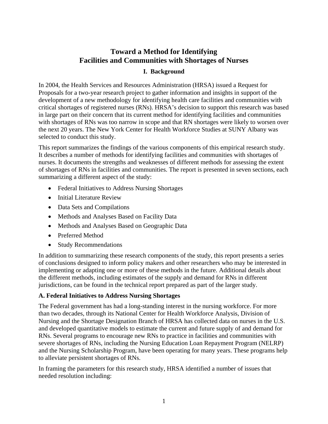# **Toward a Method for Identifying Facilities and Communities with Shortages of Nurses**

# **I. Background**

<span id="page-4-0"></span>In 2004, the Health Services and Resources Administration (HRSA) issued a Request for Proposals for a two-year research project to gather information and insights in support of the development of a new methodology for identifying health care facilities and communities with critical shortages of registered nurses (RNs). HRSA's decision to support this research was based in large part on their concern that its current method for identifying facilities and communities with shortages of RNs was too narrow in scope and that RN shortages were likely to worsen over the next 20 years. The New York Center for Health Workforce Studies at SUNY Albany was selected to conduct this study.

This report summarizes the findings of the various components of this empirical research study. It describes a number of methods for identifying facilities and communities with shortages of nurses. It documents the strengths and weaknesses of different methods for assessing the extent of shortages of RNs in facilities and communities. The report is presented in seven sections, each summarizing a different aspect of the study:

- Federal Initiatives to Address Nursing Shortages
- Initial Literature Review
- Data Sets and Compilations
- Methods and Analyses Based on Facility Data
- Methods and Analyses Based on Geographic Data
- Preferred Method
- Study Recommendations

In addition to summarizing these research components of the study, this report presents a series of conclusions designed to inform policy makers and other researchers who may be interested in implementing or adapting one or more of these methods in the future. Additional details about the different methods, including estimates of the supply and demand for RNs in different jurisdictions, can be found in the technical report prepared as part of the larger study.

### **A. Federal Initiatives to Address Nursing Shortages**

The Federal government has had a long-standing interest in the nursing workforce. For more than two decades, through its National Center for Health Workforce Analysis, Division of Nursing and the Shortage Designation Branch of HRSA has collected data on nurses in the U.S. and developed quantitative models to estimate the current and future supply of and demand for RNs. Several programs to encourage new RNs to practice in facilities and communities with severe shortages of RNs, including the Nursing Education Loan Repayment Program (NELRP) and the Nursing Scholarship Program, have been operating for many years. These programs help to alleviate persistent shortages of RNs.

In framing the parameters for this research study, HRSA identified a number of issues that needed resolution including: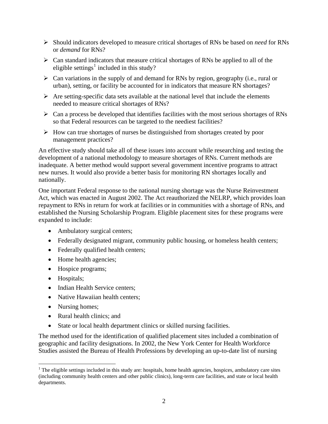- ¾ Should indicators developed to measure critical shortages of RNs be based on *need* for RNs or *demand* for RNs?
- $\triangleright$  Can standard indicators that measure critical shortages of RNs be applied to all of the eligible settings<sup>[1](#page-5-0)</sup> included in this study?
- $\triangleright$  Can variations in the supply of and demand for RNs by region, geography (i.e., rural or urban), setting, or facility be accounted for in indicators that measure RN shortages?
- $\triangleright$  Are setting-specific data sets available at the national level that include the elements needed to measure critical shortages of RNs?
- $\triangleright$  Can a process be developed that identifies facilities with the most serious shortages of RNs so that Federal resources can be targeted to the neediest facilities?
- $\triangleright$  How can true shortages of nurses be distinguished from shortages created by poor management practices?

An effective study should take all of these issues into account while researching and testing the development of a national methodology to measure shortages of RNs. Current methods are inadequate. A better method would support several government incentive programs to attract new nurses. It would also provide a better basis for monitoring RN shortages locally and nationally.

One important Federal response to the national nursing shortage was the Nurse Reinvestment Act, which was enacted in August 2002. The Act reauthorized the NELRP, which provides loan repayment to RNs in return for work at facilities or in communities with a shortage of RNs, and established the Nursing Scholarship Program. Eligible placement sites for these programs were expanded to include:

- Ambulatory surgical centers;
- Federally designated migrant, community public housing, or homeless health centers;
- Federally qualified health centers;
- Home health agencies;
- Hospice programs;
- Hospitals;
- Indian Health Service centers;
- Native Hawaiian health centers;
- Nursing homes;
- Rural health clinics; and
- State or local health department clinics or skilled nursing facilities.

The method used for the identification of qualified placement sites included a combination of geographic and facility designations. In 2002, the New York Center for Health Workforce Studies assisted the Bureau of Health Professions by developing an up-to-date list of nursing

<span id="page-5-0"></span> $\overline{a}$  $1$  The eligible settings included in this study are: hospitals, home health agencies, hospices, ambulatory care sites (including community health centers and other public clinics), long-term care facilities, and state or local health departments.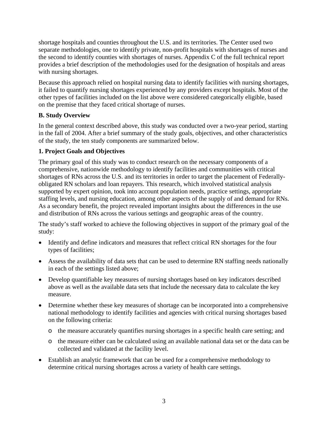<span id="page-6-0"></span>shortage hospitals and counties throughout the U.S. and its territories. The Center used two separate methodologies, one to identify private, non-profit hospitals with shortages of nurses and the second to identify counties with shortages of nurses. Appendix C of the full technical report provides a brief description of the methodologies used for the designation of hospitals and areas with nursing shortages.

Because this approach relied on hospital nursing data to identify facilities with nursing shortages, it failed to quantify nursing shortages experienced by any providers except hospitals. Most of the other types of facilities included on the list above were considered categorically eligible, based on the premise that they faced critical shortage of nurses.

# **B. Study Overview**

In the general context described above, this study was conducted over a two-year period, starting in the fall of 2004. After a brief summary of the study goals, objectives, and other characteristics of the study, the ten study components are summarized below.

# **1. Project Goals and Objectives**

The primary goal of this study was to conduct research on the necessary components of a comprehensive, nationwide methodology to identify facilities and communities with critical shortages of RNs across the U.S. and its territories in order to target the placement of Federallyobligated RN scholars and loan repayers. This research, which involved statistical analysis supported by expert opinion, took into account population needs, practice settings, appropriate staffing levels, and nursing education, among other aspects of the supply of and demand for RNs. As a secondary benefit, the project revealed important insights about the differences in the use and distribution of RNs across the various settings and geographic areas of the country.

The study's staff worked to achieve the following objectives in support of the primary goal of the study:

- Identify and define indicators and measures that reflect critical RN shortages for the four types of facilities;
- Assess the availability of data sets that can be used to determine RN staffing needs nationally in each of the settings listed above;
- Develop quantifiable key measures of nursing shortages based on key indicators described above as well as the available data sets that include the necessary data to calculate the key measure.
- Determine whether these key measures of shortage can be incorporated into a comprehensive national methodology to identify facilities and agencies with critical nursing shortages based on the following criteria:
	- o the measure accurately quantifies nursing shortages in a specific health care setting; and
	- o the measure either can be calculated using an available national data set or the data can be collected and validated at the facility level.
- Establish an analytic framework that can be used for a comprehensive methodology to determine critical nursing shortages across a variety of health care settings.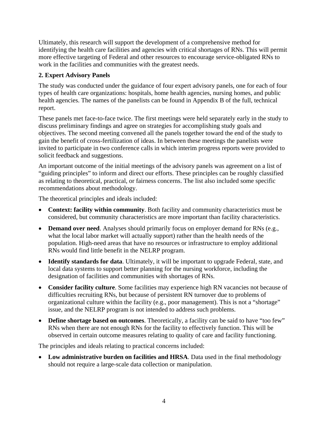<span id="page-7-0"></span>Ultimately, this research will support the development of a comprehensive method for identifying the health care facilities and agencies with critical shortages of RNs. This will permit more effective targeting of Federal and other resources to encourage service-obligated RNs to work in the facilities and communities with the greatest needs.

# **2. Expert Advisory Panels**

The study was conducted under the guidance of four expert advisory panels, one for each of four types of health care organizations: hospitals, home health agencies, nursing homes, and public health agencies. The names of the panelists can be found in Appendix B of the full, technical report.

These panels met face-to-face twice. The first meetings were held separately early in the study to discuss preliminary findings and agree on strategies for accomplishing study goals and objectives. The second meeting convened all the panels together toward the end of the study to gain the benefit of cross-fertilization of ideas. In between these meetings the panelists were invited to participate in two conference calls in which interim progress reports were provided to solicit feedback and suggestions.

An important outcome of the initial meetings of the advisory panels was agreement on a list of "guiding principles" to inform and direct our efforts. These principles can be roughly classified as relating to theoretical, practical, or fairness concerns. The list also included some specific recommendations about methodology.

The theoretical principles and ideals included:

- **Context: facility within community**. Both facility and community characteristics must be considered, but community characteristics are more important than facility characteristics.
- **Demand over need**. Analyses should primarily focus on employer demand for RNs (e.g., what the local labor market will actually support) rather than the health needs of the population. High-need areas that have no resources or infrastructure to employ additional RNs would find little benefit in the NELRP program.
- **Identify standards for data**. Ultimately, it will be important to upgrade Federal, state, and local data systems to support better planning for the nursing workforce, including the designation of facilities and communities with shortages of RNs.
- **Consider facility culture**. Some facilities may experience high RN vacancies not because of difficulties recruiting RNs, but because of persistent RN turnover due to problems of organizational culture within the facility (e.g., poor management). This is not a "shortage" issue, and the NELRP program is not intended to address such problems.
- **Define shortage based on outcomes**. Theoretically, a facility can be said to have "too few" RNs when there are not enough RNs for the facility to effectively function. This will be observed in certain outcome measures relating to quality of care and facility functioning.

The principles and ideals relating to practical concerns included:

• Low administrative burden on facilities and HRSA. Data used in the final methodology should not require a large-scale data collection or manipulation.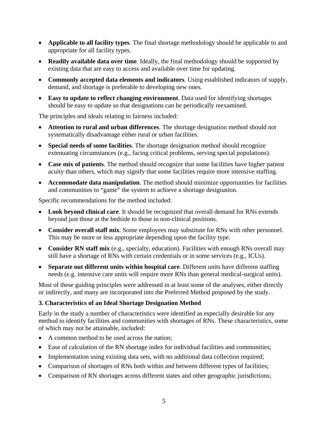- <span id="page-8-0"></span>• **Applicable to all facility types**. The final shortage methodology should be applicable to and appropriate for all facility types.
- **Readily available data over time**. Ideally, the final methodology should be supported by existing data that are easy to access and available over time for updating.
- **Commonly accepted data elements and indicators**. Using established indicators of supply, demand, and shortage is preferable to developing new ones.
- **Easy to update to reflect changing environment**. Data used for identifying shortages should be easy to update so that designations can be periodically reexamined.

The principles and ideals relating to fairness included:

- **Attention to rural and urban differences**. The shortage designation method should not systematically disadvantage either rural or urban facilities.
- **Special needs of some facilities**. The shortage designation method should recognize extenuating circumstances (e.g., facing critical problems, serving special populations).
- **Case mix of patients**. The method should recognize that some facilities have higher patient acuity than others, which may signify that some facilities require more intensive staffing.
- **Accommodate data manipulation**. The method should minimize opportunities for facilities and communities to "game" the system to achieve a shortage designation.

Specific recommendations for the method included:

- **Look beyond clinical care**. It should be recognized that overall demand for RNs extends beyond just those at the bedside to those in non-clinical positions.
- **Consider overall staff mix**. Some employees may substitute for RNs with other personnel. This may be more or less appropriate depending upon the facility type.
- **Consider RN staff mix** (e.g., specialty, education). Facilities with enough RNs overall may still have a shortage of RNs with certain credentials or in some services (e.g., ICUs).
- **Separate out different units within hospital care**. Different units have different staffing needs (e.g. intensive care units will require more RNs than general medical-surgical units).

Most of these guiding principles were addressed in at least some of the analyses, either directly or indirectly, and many are incorporated into the Preferred Method proposed by the study.

# **3. Characteristics of an Ideal Shortage Designation Method**

Early in the study a number of characteristics were identified as especially desirable for any method to identify facilities and communities with shortages of RNs. These characteristics, some of which may not be attainable, included:

- A common method to be used across the nation:
- Ease of calculation of the RN shortage index for individual facilities and communities;
- Implementation using existing data sets, with no additional data collection required;
- Comparison of shortages of RNs both within and between different types of facilities;
- Comparison of RN shortages across different states and other geographic jurisdictions;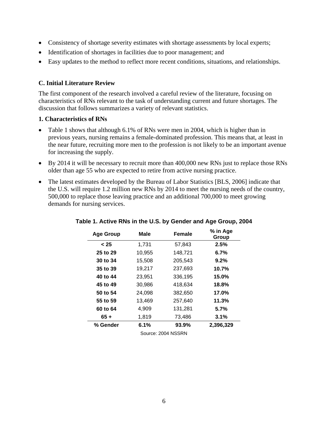- <span id="page-9-0"></span>• Consistency of shortage severity estimates with shortage assessments by local experts;
- Identification of shortages in facilities due to poor management; and
- Easy updates to the method to reflect more recent conditions, situations, and relationships.

#### **C. Initial Literature Review**

The first component of the research involved a careful review of the literature, focusing on characteristics of RNs relevant to the task of understanding current and future shortages. The discussion that follows summarizes a variety of relevant statistics.

#### **1. Characteristics of RNs**

- Table 1 shows that although 6.1% of RNs were men in 2004, which is higher than in previous years, nursing remains a female-dominated profession. This means that, at least in the near future, recruiting more men to the profession is not likely to be an important avenue for increasing the supply.
- By 2014 it will be necessary to recruit more than 400,000 new RNs just to replace those RNs older than age 55 who are expected to retire from active nursing practice.
- The latest estimates developed by the Bureau of Labor Statistics [BLS, 2006] indicate that the U.S. will require 1.2 million new RNs by 2014 to meet the nursing needs of the country, 500,000 to replace those leaving practice and an additional 700,000 to meet growing demands for nursing services.

| <b>Age Group</b>   | Male   | Female  | % in Age<br>Group |  |  |  |
|--------------------|--------|---------|-------------------|--|--|--|
| < 25               | 1,731  | 57,843  | 2.5%              |  |  |  |
| 25 to 29           | 10,955 | 148,721 | 6.7%              |  |  |  |
| 30 to 34           | 15,508 | 205,543 | 9.2%              |  |  |  |
| 35 to 39           | 19,217 | 237,693 | 10.7%             |  |  |  |
| 40 to 44           | 23,951 | 336,195 | 15.0%             |  |  |  |
| 45 to 49           | 30,986 | 418,634 | 18.8%             |  |  |  |
| 50 to 54           | 24,098 | 382,650 | 17.0%             |  |  |  |
| 55 to 59           | 13,469 | 257,640 | 11.3%             |  |  |  |
| 60 to 64           | 4,909  | 131,281 | 5.7%              |  |  |  |
| $65 +$             | 1,819  | 73,486  | 3.1%              |  |  |  |
| % Gender           | 6.1%   | 93.9%   | 2,396,329         |  |  |  |
| Source: 2004 NSSRN |        |         |                   |  |  |  |

#### **Table 1. Active RNs in the U.S. by Gender and Age Group, 2004**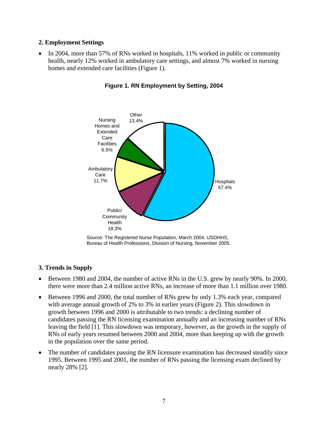#### <span id="page-10-0"></span>**2. Employment Settings**

• In 2004, more than 57% of RNs worked in hospitals, 11% worked in public or community health, nearly 12% worked in ambulatory care settings, and almost 7% worked in nursing homes and extended care facilities (Figure 1).



**Figure 1. RN Employment by Setting, 2004** 

### **3. Trends in Supply**

- Between 1980 and 2004, the number of active RNs in the U.S. grew by nearly 90%. In 2000, there were more than 2.4 million active RNs, an increase of more than 1.1 million over 1980.
- growth between 1996 and 2000 is attributable to two trends: a declining number of leaving the field [1]. This slowdown was temporary, however, as the growth in the supply of RNs of early years resumed between 2000 and 2004, more than keeping up with the growth in the population over the same period. • Between 1996 and 2000, the total number of RNs grew by only 1.3% each year, compared with average annual growth of 2% to 3% in earlier years (Figure 2). This slowdown in candidates passing the RN licensing examination annually and an increasing number of RNs
- The number of candidates passing the RN licensure examination has decreased steadily since 1995. Between 1995 and 2001, the number of RNs passing the licensing exam declined by nearly 28% [2].

Source: The Registered Nurse Population, March 2004. USDHHS, Bureau of Health Professions, Division of Nursing, November 2005.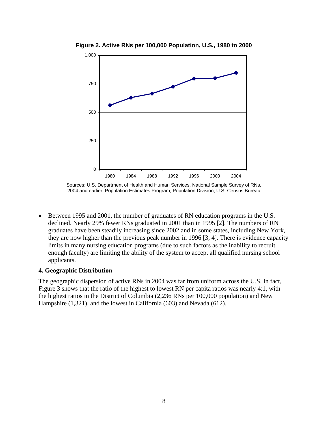

<span id="page-11-0"></span>**Figure 2. Active RNs per 100,000 Population, U.S., 1980 to 2000** 

Sources: U.S. Department of Health and Human Services, National Sample Survey of RNs, 2004 and earlier; Population Estimates Program, Population Division, U.S. Census Bureau.

• Between 1995 and 2001, the number of graduates of RN education programs in the U.S. declined. Nearly 29% fewer RNs graduated in 2001 than in 1995 [2]. The numbers of RN graduates have been steadily increasing since 2002 and in some states, including New York, they are now higher than the previous peak number in 1996 [3, 4]. There is evidence capacity limits in many nursing education programs (due to such factors as the inability to recruit enough faculty) are limiting the ability of the system to accept all qualified nursing school applicants.

#### **4. Geographic Distribution**

The geographic dispersion of active RNs in 2004 was far from uniform across the U.S. In fact, Figure 3 shows that the ratio of the highest to lowest RN per capita ratios was nearly 4:1, with the highest ratios in the District of Columbia (2,236 RNs per 100,000 population) and New Hampshire (1,321), and the lowest in California (603) and Nevada (612).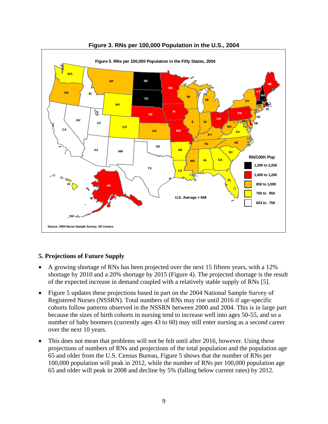<span id="page-12-0"></span>

#### **Figure 3. RNs per 100,000 Population in the U.S., 2004**

### **5. Projections of Future Supply**

- A growing shortage of RNs has been projected over the next 15 fifteen years, with a 12% shortage by 2010 and a 20% shortage by 2015 (Figure 4). The projected shortage is the result of the expected increase in demand coupled with a relatively stable supply of RNs [5].
- Figure 5 updates these projections based in part on the 2004 National Sample Survey of Registered Nurses (NSSRN). Total numbers of RNs may rise until 2016 if age-specific cohorts follow patterns observed in the NSSRN between 2000 and 2004. This is in large part because the sizes of birth cohorts in nursing tend to increase well into ages 50-55, and so a number of baby boomers (currently ages 43 to 60) may still enter nursing as a second career over the next 10 years.
- This does not mean that problems will not be felt until after 2016, however. Using these projections of numbers of RNs and projections of the total population and the population age 65 and older from the U.S. Census Bureau, Figure 5 shows that the number of RNs per 100,000 population will peak in 2012, while the number of RNs per 100,000 population age 65 and older will peak in 2008 and decline by 5% (falling below current rates) by 2012.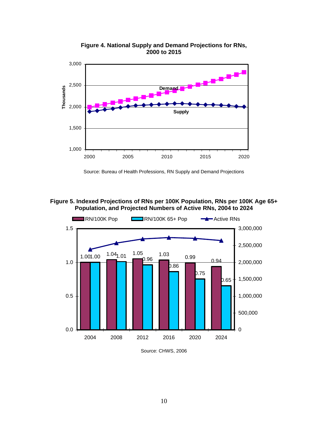<span id="page-13-0"></span>

**Figure 4. National Supply and Demand Projections for RNs, 2000 to 2015** 

Source: Bureau of Health Professions, RN Supply and Demand Projections

**Figure 5. Indexed Projections of RNs per 100K Population, RNs per 100K Age 65+ Population, and Projected Numbers of Active RNs, 2004 to 2024** 



Source: CHWS, 2006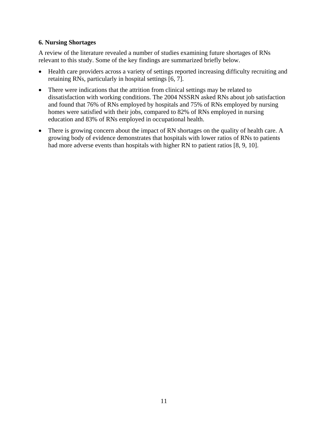#### <span id="page-14-0"></span>**6. Nursing Shortages**

A review of the literature revealed a number of studies examining future shortages of RNs relevant to this study. Some of the key findings are summarized briefly below.

- Health care providers across a variety of settings reported increasing difficulty recruiting and retaining RNs, particularly in hospital settings [6, 7].
- There were indications that the attrition from clinical settings may be related to dissatisfaction with working conditions. The 2004 NSSRN asked RNs about job satisfaction and found that 76% of RNs employed by hospitals and 75% of RNs employed by nursing homes were satisfied with their jobs, compared to 82% of RNs employed in nursing education and 83% of RNs employed in occupational health.
- There is growing concern about the impact of RN shortages on the quality of health care. A growing body of evidence demonstrates that hospitals with lower ratios of RNs to patients had more adverse events than hospitals with higher RN to patient ratios [8, 9, 10].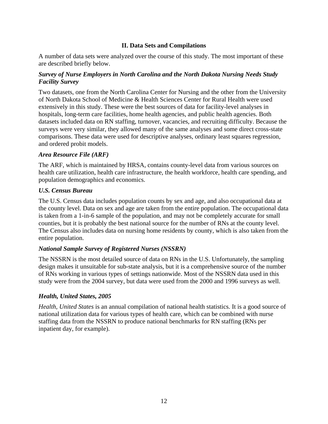# **II. Data Sets and Compilations**

<span id="page-15-0"></span>A number of data sets were analyzed over the course of this study. The most important of these are described briefly below.

#### *Survey of Nurse Employers in North Carolina and the North Dakota Nursing Needs Study Facility Survey*

Two datasets, one from the North Carolina Center for Nursing and the other from the University of North Dakota School of Medicine & Health Sciences Center for Rural Health were used extensively in this study. These were the best sources of data for facility-level analyses in hospitals, long-term care facilities, home health agencies, and public health agencies. Both datasets included data on RN staffing, turnover, vacancies, and recruiting difficulty. Because the surveys were very similar, they allowed many of the same analyses and some direct cross-state comparisons. These data were used for descriptive analyses, ordinary least squares regression, and ordered probit models.

#### *Area Resource File (ARF)*

The ARF, which is maintained by HRSA, contains county-level data from various sources on health care utilization, health care infrastructure, the health workforce, health care spending, and population demographics and economics.

#### *U.S. Census Bureau*

The U.S. Census data includes population counts by sex and age, and also occupational data at the county level. Data on sex and age are taken from the entire population. The occupational data is taken from a 1-in-6 sample of the population, and may not be completely accurate for small counties, but it is probably the best national source for the number of RNs at the county level. The Census also includes data on nursing home residents by county, which is also taken from the entire population.

### *National Sample Survey of Registered Nurses (NSSRN)*

The NSSRN is the most detailed source of data on RNs in the U.S. Unfortunately, the sampling design makes it unsuitable for sub-state analysis, but it is a comprehensive source of the number of RNs working in various types of settings nationwide. Most of the NSSRN data used in this study were from the 2004 survey, but data were used from the 2000 and 1996 surveys as well.

### *Health, United States, 2005*

*Health, United States* is an annual compilation of national health statistics. It is a good source of national utilization data for various types of health care, which can be combined with nurse staffing data from the NSSRN to produce national benchmarks for RN staffing (RNs per inpatient day, for example).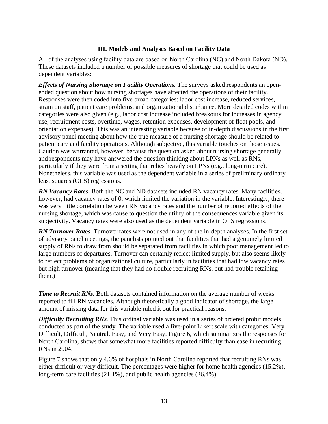#### **III. Models and Analyses Based on Facility Data**

<span id="page-16-0"></span>All of the analyses using facility data are based on North Carolina (NC) and North Dakota (ND). These datasets included a number of possible measures of shortage that could be used as dependent variables:

*Effects of Nursing Shortage on Facility Operations.* The surveys asked respondents an openended question about how nursing shortages have affected the operations of their facility. Responses were then coded into five broad categories: labor cost increase, reduced services, strain on staff, patient care problems, and organizational disturbance. More detailed codes within categories were also given (e.g., labor cost increase included breakouts for increases in agency use, recruitment costs, overtime, wages, retention expenses, development of float pools, and orientation expenses). This was an interesting variable because of in-depth discussions in the first advisory panel meeting about how the true measure of a nursing shortage should be related to patient care and facility operations. Although subjective, this variable touches on those issues. Caution was warranted, however, because the question asked about nursing shortage generally, and respondents may have answered the question thinking about LPNs as well as RNs, particularly if they were from a setting that relies heavily on LPNs (e.g., long-term care). Nonetheless, this variable was used as the dependent variable in a series of preliminary ordinary least squares (OLS) regressions.

*RN Vacancy Rates*. Both the NC and ND datasets included RN vacancy rates. Many facilities, however, had vacancy rates of 0, which limited the variation in the variable. Interestingly, there was very little correlation between RN vacancy rates and the number of reported effects of the nursing shortage, which was cause to question the utility of the consequences variable given its subjectivity. Vacancy rates were also used as the dependent variable in OLS regressions.

*RN Turnover Rates*. Turnover rates were not used in any of the in-depth analyses. In the first set of advisory panel meetings, the panelists pointed out that facilities that had a genuinely limited supply of RNs to draw from should be separated from facilities in which poor management led to large numbers of departures. Turnover can certainly reflect limited supply, but also seems likely to reflect problems of organizational culture, particularly in facilities that had low vacancy rates but high turnover (meaning that they had no trouble recruiting RNs, but had trouble retaining them.)

*Time to Recruit RNs.* Both datasets contained information on the average number of weeks reported to fill RN vacancies. Although theoretically a good indicator of shortage, the large amount of missing data for this variable ruled it out for practical reasons.

*Difficulty Recruiting RNs*. This ordinal variable was used in a series of ordered probit models conducted as part of the study. The variable used a five-point Likert scale with categories: Very Difficult, Difficult, Neutral, Easy, and Very Easy. Figure 6, which summarizes the responses for North Carolina, shows that somewhat more facilities reported difficulty than ease in recruiting RNs in 2004.

Figure 7 shows that only 4.6% of hospitals in North Carolina reported that recruiting RNs was either difficult or very difficult. The percentages were higher for home health agencies (15.2%), long-term care facilities (21.1%), and public health agencies (26.4%).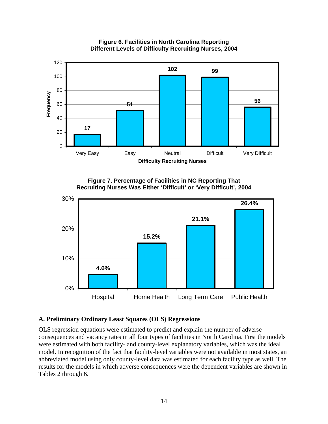<span id="page-17-0"></span>

#### **Figure 6. Facilities in North Carolina Reporting Different Levels of Difficulty Recruiting Nurses, 2004**





# **A. Preliminary Ordinary Least Squares (OLS) Regressions**

OLS regression equations were estimated to predict and explain the number of adverse consequences and vacancy rates in all four types of facilities in North Carolina. First the models were estimated with both facility- and county-level explanatory variables, which was the ideal model. In recognition of the fact that facility-level variables were not available in most states, an abbreviated model using only county-level data was estimated for each facility type as well. The results for the models in which adverse consequences were the dependent variables are shown in Tables 2 through 6.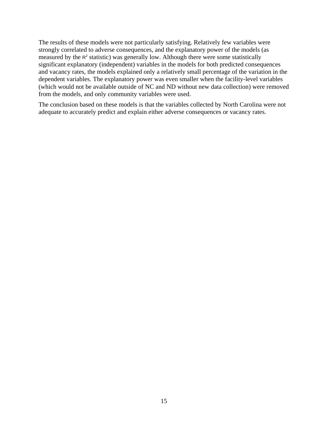The results of these models were not particularly satisfying. Relatively few variables were strongly correlated to adverse consequences, and the explanatory power of the models (as measured by the  $R<sup>2</sup>$  statistic) was generally low. Although there were some statistically significant explanatory (independent) variables in the models for both predicted consequences and vacancy rates, the models explained only a relatively small percentage of the variation in the dependent variables. The explanatory power was even smaller when the facility-level variables (which would not be available outside of NC and ND without new data collection) were removed from the models, and only community variables were used.

The conclusion based on these models is that the variables collected by North Carolina were not adequate to accurately predict and explain either adverse consequences or vacancy rates.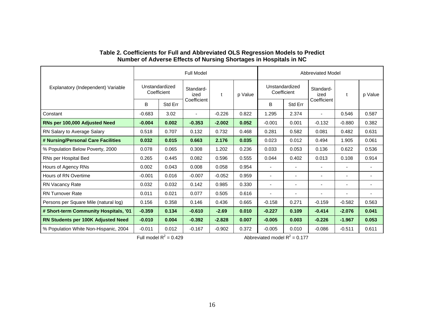|                                                                                          | <b>Full Model</b> |         |                               |          |                   | <b>Abbreviated Model</b> |                          |                          |                          |                |
|------------------------------------------------------------------------------------------|-------------------|---------|-------------------------------|----------|-------------------|--------------------------|--------------------------|--------------------------|--------------------------|----------------|
| Unstandardized<br>Explanatory (Independent) Variable<br>Standard-<br>Coefficient<br>ized | t                 | p Value | Unstandardized<br>Coefficient |          | Standard-<br>ized | t                        | p Value                  |                          |                          |                |
|                                                                                          | B                 | Std Err | Coefficient                   |          |                   | B                        | Std Err                  | Coefficient              |                          |                |
| Constant                                                                                 | $-0.683$          | 3.02    | ٠                             | $-0.226$ | 0.822             | 1.295                    | 2.374                    | $\overline{\phantom{0}}$ | 0.546                    | 0.587          |
| RNs per 100,000 Adjusted Need                                                            | $-0.004$          | 0.002   | $-0.353$                      | $-2.002$ | 0.052             | $-0.001$                 | 0.001                    | $-0.132$                 | $-0.880$                 | 0.382          |
| RN Salary to Average Salary                                                              | 0.518             | 0.707   | 0.132                         | 0.732    | 0.468             | 0.281                    | 0.582                    | 0.081                    | 0.482                    | 0.631          |
| # Nursing/Personal Care Facilities                                                       | 0.032             | 0.015   | 0.663                         | 2.176    | 0.035             | 0.023                    | 0.012                    | 0.494                    | 1.905                    | 0.061          |
| % Population Below Poverty, 2000                                                         | 0.078             | 0.065   | 0.308                         | 1.202    | 0.236             | 0.033                    | 0.053                    | 0.136                    | 0.622                    | 0.536          |
| RNs per Hospital Bed                                                                     | 0.265             | 0.445   | 0.082                         | 0.596    | 0.555             | 0.044                    | 0.402                    | 0.013                    | 0.108                    | 0.914          |
| Hours of Agency RNs                                                                      | 0.002             | 0.043   | 0.008                         | 0.058    | 0.954             | $\blacksquare$           |                          | $\blacksquare$           | $\blacksquare$           |                |
| Hours of RN Overtime                                                                     | $-0.001$          | 0.016   | $-0.007$                      | $-0.052$ | 0.959             | $\overline{\phantom{a}}$ | $\overline{\phantom{a}}$ | $\overline{\phantom{a}}$ | $\overline{\phantom{a}}$ | $\blacksquare$ |
| <b>RN Vacancy Rate</b>                                                                   | 0.032             | 0.032   | 0.142                         | 0.985    | 0.330             | $\blacksquare$           |                          | -                        | $\blacksquare$           |                |
| <b>RN Turnover Rate</b>                                                                  | 0.011             | 0.021   | 0.077                         | 0.505    | 0.616             | $\blacksquare$           |                          | $\blacksquare$           | $\overline{\phantom{a}}$ |                |
| Persons per Square Mile (natural log)                                                    | 0.156             | 0.358   | 0.146                         | 0.436    | 0.665             | $-0.158$                 | 0.271                    | $-0.159$                 | $-0.582$                 | 0.563          |
| # Short-term Community Hospitals, '01                                                    | $-0.359$          | 0.134   | $-0.610$                      | $-2.69$  | 0.010             | $-0.227$                 | 0.109                    | $-0.414$                 | $-2.076$                 | 0.041          |
| <b>RN Students per 100K Adjusted Need</b>                                                | $-0.010$          | 0.004   | $-0.392$                      | $-2.828$ | 0.007             | $-0.005$                 | 0.003                    | $-0.226$                 | $-1.967$                 | 0.053          |
| % Population White Non-Hispanic, 2004                                                    | $-0.011$          | 0.012   | $-0.167$                      | $-0.902$ | 0.372             | $-0.005$                 | 0.010                    | $-0.086$                 | $-0.511$                 | 0.611          |

#### **Table 2. Coefficients for Full and Abbreviated OLS Regression Models to Predict Number of Adverse Effects of Nursing Shortages in Hospitals in NC**

<span id="page-19-0"></span>Full model  $R^2 = 0.429$  Abbreviated model  $R^2 = 0.177$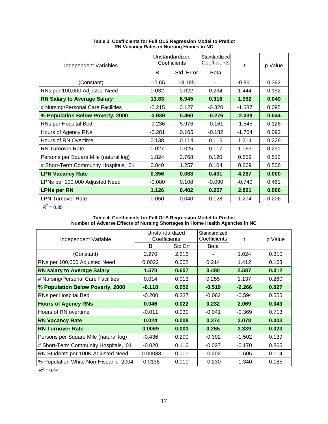<span id="page-20-0"></span>

| <b>Independent Variables</b>          |          | Unstandardized<br>Coefficients | Standardized<br>Coefficients | t        | p Value |  |
|---------------------------------------|----------|--------------------------------|------------------------------|----------|---------|--|
|                                       | B        | Std. Error                     | <b>Beta</b>                  |          |         |  |
| (Constant)                            | $-15.65$ | 18.185                         |                              | $-0.861$ | 0.392   |  |
| RNs per 100,000 Adjusted Need         | 0.032    | 0.022                          | 0.234                        | 1.444    | 0.152   |  |
| <b>RN Salary to Average Salary</b>    | 13.83    | 6.945                          | 0.316                        | 1.992    | 0.049   |  |
| # Nursing/Personal Care Facilities    | $-0.215$ | 0.127                          | $-0.320$                     | $-1.687$ | 0.095   |  |
| % Population Below Poverty, 2000      | $-0.939$ | 0.460                          | $-0.276$                     | $-2.039$ | 0.044   |  |
| RNs per Hospital Bed                  | $-9.236$ | 5.976                          | $-0.161$                     | $-1.545$ | 0.126   |  |
| Hours of Agency RNs                   | $-0.281$ | 0.165                          | $-0.182$                     | $-1.704$ | 0.092   |  |
| Hours of RN Overtime                  | 0.138    | 0.114                          | 0.116                        | 1.214    | 0.228   |  |
| <b>RN</b> Turnover Rate               | 0.027    | 0.026                          | 0.117                        | 1.063    | 0.291   |  |
| Persons per Square Mile (natural log) | 1.824    | 2.768                          | 0.120                        | 0.659    | 0.512   |  |
| # Short-Term Community Hospitals, '01 | 0.840    | 1.257                          | 0.104                        | 0.669    | 0.506   |  |
| <b>LPN Vacancy Rate</b>               | 0.356    | 0.083                          | 0.401                        | 4.287    | 0.000   |  |
| LPNs per 100,000 Adjusted Need        | $-0.080$ | 0.108                          | $-0.090$                     | $-0.740$ | 0.461   |  |
| <b>LPNs per RN</b>                    | 1.126    | 0.402                          | 0.257                        | 2.801    | 0.006   |  |
| <b>LPN Turnover Rate</b>              | 0.050    | 0.040                          | 0.128                        | 1.274    | 0.206   |  |

**Table 3. Coefficients for Full OLS Regression Model to Predict RN Vacancy Rates in Nursing Homes in NC** 

 $R^2 = 0.35$ 

#### **Table 4. Coefficients for Full OLS Regression Model to Predict Number of Adverse Effects of Nursing Shortages in Home Health Agencies in NC**

| Independent Variable                  | Coefficients | Unstandardized | Standardized<br>Coefficients | t        | p Value |  |
|---------------------------------------|--------------|----------------|------------------------------|----------|---------|--|
|                                       | B            | Std Err        | <b>Beta</b>                  |          |         |  |
| (Constant)                            | 2.270        | 2.216          |                              | 1.024    | 0.310   |  |
| RNs per 100,000 Adjusted Need         | 0.0022       | 0.002          | 0.214                        | 1.412    | 0.163   |  |
| <b>RN salary to Average Salary</b>    | 1.570        | 0.607          | 0.480                        | 2.587    | 0.012   |  |
| # Nursing/Personal Care Facilities    | 0.014        | 0.013          | 0.255                        | 1.137    | 0.260   |  |
| % Population Below Poverty, 2000      | $-0.118$     | 0.052          | $-0.519$                     | $-2.266$ | 0.027   |  |
| RNs per Hospital Bed                  | $-0.200$     | 0.337          | $-0.062$                     | $-0.594$ | 0.555   |  |
| <b>Hours of Agency RNs</b>            | 0.046        | 0.022          | 0.232                        | 2.069    | 0.043   |  |
| Hours of RN overtime                  | $-0.011$     | 0.030          | $-0.041$                     | $-0.369$ | 0.713   |  |
| <b>RN Vacancy Rate</b>                | 0.024        | 0.008          | 0.374                        | 3.078    | 0.003   |  |
| <b>RN Turnover Rate</b>               | 0.0069       | 0.003          | 0.265                        | 2.339    | 0.023   |  |
| Persons per Square Mile (natural log) | $-0.436$     | 0.290          | $-0.392$                     | $-1.502$ | 0.139   |  |
| # Short-Term Community Hospitals, '01 | $-0.020$     | 0.116          | $-0.027$                     | $-0.170$ | 0.865   |  |
| RN Students per 100K Adjusted Need    | $-0.00088$   | 0.001          | $-0.202$                     | $-1.605$ | 0.114   |  |
| % Population White Non-Hispanic, 2004 | $-0.0136$    | 0.010          | $-0.230$                     | $-1.340$ | 0.185   |  |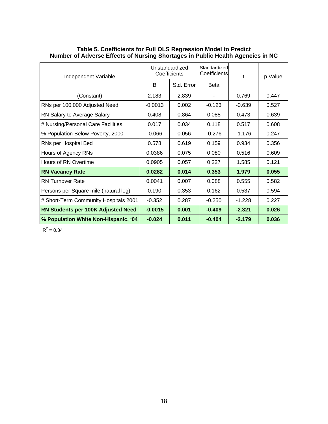| Independent Variable                      |           | Unstandardized<br>Coefficients | Standardized<br>Coefficients | t        | p Value |  |
|-------------------------------------------|-----------|--------------------------------|------------------------------|----------|---------|--|
|                                           | B         | Std. Error                     | <b>Beta</b>                  |          |         |  |
| (Constant)                                | 2.183     | 2.839                          |                              | 0.769    | 0.447   |  |
| RNs per 100,000 Adjusted Need             | $-0.0013$ | 0.002                          | $-0.123$                     | $-0.639$ | 0.527   |  |
| RN Salary to Average Salary               | 0.408     | 0.864                          | 0.088                        | 0.473    | 0.639   |  |
| # Nursing/Personal Care Facilities        | 0.017     | 0.034                          | 0.118                        | 0.517    | 0.608   |  |
| % Population Below Poverty, 2000          | $-0.066$  | 0.056                          | $-0.276$                     | $-1.176$ | 0.247   |  |
| RNs per Hospital Bed                      | 0.578     | 0.619                          | 0.159                        | 0.934    | 0.356   |  |
| Hours of Agency RNs                       | 0.0386    | 0.075                          | 0.080                        | 0.516    | 0.609   |  |
| Hours of RN Overtime                      | 0.0905    | 0.057                          | 0.227                        | 1.585    | 0.121   |  |
| <b>RN Vacancy Rate</b>                    | 0.0282    | 0.014                          | 0.353                        | 1.979    | 0.055   |  |
| <b>RN Turnover Rate</b>                   | 0.0041    | 0.007                          | 0.088                        | 0.555    | 0.582   |  |
| Persons per Square mile (natural log)     | 0.190     | 0.353                          | 0.162                        | 0.537    | 0.594   |  |
| # Short-Term Community Hospitals 2001     | $-0.352$  | 0.287                          | $-0.250$                     | $-1.228$ | 0.227   |  |
| <b>RN Students per 100K Adjusted Need</b> | $-0.0015$ | 0.001                          | $-0.409$                     | $-2.321$ | 0.026   |  |
| % Population White Non-Hispanic, '04      | $-0.024$  | 0.011                          | $-0.404$                     | $-2.179$ | 0.036   |  |

#### <span id="page-21-0"></span>**Table 5. Coefficients for Full OLS Regression Model to Predict Number of Adverse Effects of Nursing Shortages in Public Health Agencies in NC**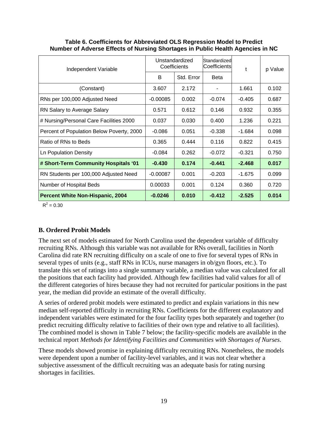| Independent Variable                      |            | Unstandardized<br>Coefficients | Standardized<br>Coefficients | t        | p Value |  |
|-------------------------------------------|------------|--------------------------------|------------------------------|----------|---------|--|
|                                           | B          | Std. Error                     | <b>Beta</b>                  |          |         |  |
| (Constant)                                | 3.607      | 2.172                          |                              | 1.661    | 0.102   |  |
| RNs per 100,000 Adjusted Need             | $-0.00085$ | 0.002                          | $-0.074$                     | $-0.405$ | 0.687   |  |
| RN Salary to Average Salary               | 0.571      | 0.612                          | 0.146                        | 0.932    | 0.355   |  |
| # Nursing/Personal Care Facilities 2000   | 0.037      | 0.030                          | 0.400                        | 1.236    | 0.221   |  |
| Percent of Population Below Poverty, 2000 | $-0.086$   | 0.051                          | $-0.338$                     | $-1.684$ | 0.098   |  |
| Ratio of RNs to Beds                      | 0.365      | 0.444                          | 0.116                        | 0.822    | 0.415   |  |
| <b>Ln Population Density</b>              | $-0.084$   | 0.262                          | $-0.072$                     | $-0.321$ | 0.750   |  |
| # Short-Term Community Hospitals '01      | $-0.430$   | 0.174                          | $-0.441$                     | $-2.468$ | 0.017   |  |
| RN Students per 100,000 Adjusted Need     | $-0.00087$ | 0.001                          | $-0.203$                     | $-1.675$ | 0.099   |  |
| Number of Hospital Beds                   | 0.00033    | 0.001                          | 0.124                        | 0.360    | 0.720   |  |
| <b>Percent White Non-Hispanic, 2004</b>   | $-0.0246$  | 0.010                          | $-0.412$                     | $-2.525$ | 0.014   |  |

#### <span id="page-22-0"></span>**Table 6. Coefficients for Abbreviated OLS Regression Model to Predict Number of Adverse Effects of Nursing Shortages in Public Health Agencies in NC**

 $R^2 = 0.30$ 

# **B. Ordered Probit Models**

The next set of models estimated for North Carolina used the dependent variable of difficulty recruiting RNs. Although this variable was not available for RNs overall, facilities in North Carolina did rate RN recruiting difficulty on a scale of one to five for several types of RNs in several types of units (e.g., staff RNs in ICUs, nurse managers in ob/gyn floors, etc.). To translate this set of ratings into a single summary variable, a median value was calculated for all the positions that each facility had provided. Although few facilities had valid values for all of the different categories of hires because they had not recruited for particular positions in the past year, the median did provide an estimate of the overall difficulty.

A series of ordered probit models were estimated to predict and explain variations in this new median self-reported difficulty in recruiting RNs. Coefficients for the different explanatory and independent variables were estimated for the four facility types both separately and together (to predict recruiting difficulty relative to facilities of their own type and relative to all facilities). The combined model is shown in Table 7 below; the facility-specific models are available in the technical report *Methods for Identifying Facilities and Communities with Shortages of Nurses*.

These models showed promise in explaining difficulty recruiting RNs. Nonetheless, the models were dependent upon a number of facility-level variables, and it was not clear whether a subjective assessment of the difficult recruiting was an adequate basis for rating nursing shortages in facilities.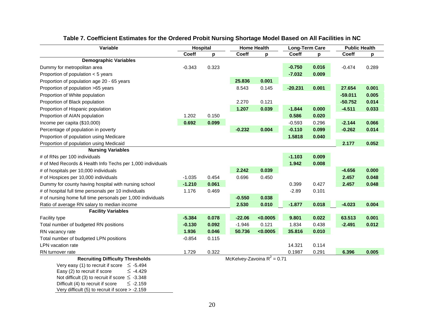| Variable                                                                                                                                    | Hospital |       |              | <b>Home Health</b>            |           | <b>Long-Term Care</b> |              | <b>Public Health</b> |
|---------------------------------------------------------------------------------------------------------------------------------------------|----------|-------|--------------|-------------------------------|-----------|-----------------------|--------------|----------------------|
|                                                                                                                                             | Coeff    | p     | <b>Coeff</b> | p                             | Coeff     | p                     | <b>Coeff</b> | p                    |
| <b>Demographic Variables</b>                                                                                                                |          |       |              |                               |           |                       |              |                      |
| Dummy for metropolitan area                                                                                                                 | $-0.343$ | 0.323 |              |                               | $-0.750$  | 0.016                 | $-0.474$     | 0.289                |
| Proportion of population < 5 years                                                                                                          |          |       |              |                               | $-7.032$  | 0.009                 |              |                      |
| Proportion of population age 20 - 65 years                                                                                                  |          |       | 25.836       | 0.001                         |           |                       |              |                      |
| Proportion of population >65 years                                                                                                          |          |       | 8.543        | 0.145                         | $-20.231$ | 0.001                 | 27.654       | 0.001                |
| Proportion of White population                                                                                                              |          |       |              |                               |           |                       | $-59.011$    | 0.005                |
| Proportion of Black population                                                                                                              |          |       | 2.270        | 0.121                         |           |                       | $-50.752$    | 0.014                |
| Proportion of Hispanic population                                                                                                           |          |       | 1.207        | 0.039                         | $-1.844$  | 0.000                 | $-4.511$     | 0.033                |
| Proportion of AIAN population                                                                                                               | 1.202    | 0.150 |              |                               | 0.586     | 0.020                 |              |                      |
| Income per capita (\$10,000)                                                                                                                | 0.692    | 0.099 |              |                               | $-0.593$  | 0.296                 | $-2.144$     | 0.066                |
| Percentage of population in poverty                                                                                                         |          |       | $-0.232$     | 0.004                         | $-0.110$  | 0.099                 | $-0.262$     | 0.014                |
| Proportion of population using Medicare                                                                                                     |          |       |              |                               | 1.5818    | 0.040                 |              |                      |
| Proportion of population using Medicaid                                                                                                     |          |       |              |                               |           |                       | 2.177        | 0.052                |
| <b>Nursing Variables</b>                                                                                                                    |          |       |              |                               |           |                       |              |                      |
| # of RNs per 100 individuals                                                                                                                |          |       |              |                               | $-1.103$  | 0.009                 |              |                      |
| # of Med Records & Health Info Techs per 1,000 individuals                                                                                  |          |       |              |                               | 1.942     | 0.008                 |              |                      |
| # of hospitals per 10,000 individuals                                                                                                       |          |       | 2.242        | 0.039                         |           |                       | $-4.656$     | 0.000                |
| # of Hospices per 10,000 individuals                                                                                                        | $-1.035$ | 0.454 | 0.696        | 0.450                         |           |                       | 2.457        | 0.048                |
| Dummy for county having hospital with nursing school                                                                                        | $-1.210$ | 0.061 |              |                               | 0.399     | 0.427                 | 2.457        | 0.048                |
| # of hospital full time personals per 10 individuals                                                                                        | 1.176    | 0.469 |              |                               | $-2.89$   | 0.101                 |              |                      |
| # of nursing home full time personals per 1,000 individuals                                                                                 |          |       | $-0.550$     | 0.038                         |           |                       |              |                      |
| Ratio of average RN salary to median income                                                                                                 |          |       | 2.530        | 0.010                         | $-1.877$  | 0.018                 | $-4.023$     | 0.004                |
| <b>Facility Variables</b>                                                                                                                   |          |       |              |                               |           |                       |              |                      |
| Facility type                                                                                                                               | $-5.384$ | 0.078 | $-22.06$     | < 0.0005                      | 9.801     | 0.022                 | 63.513       | 0.001                |
| Total number of budgeted RN positions                                                                                                       | $-0.130$ | 0.092 | $-1.946$     | 0.121                         | 1.834     | 0.438                 | $-2.491$     | 0.012                |
| RN vacancy rate                                                                                                                             | 1.936    | 0.046 | 50.736       | < 0.0005                      | 35.816    | 0.010                 |              |                      |
| Total number of budgeted LPN positions                                                                                                      | $-0.854$ | 0.115 |              |                               |           |                       |              |                      |
| <b>LPN</b> vacation rate                                                                                                                    |          |       |              |                               | 14.321    | 0.114                 |              |                      |
| RN turnover rate                                                                                                                            | 1.729    | 0.322 |              |                               | 0.1987    | 0.291                 | 6.396        | 0.005                |
| <b>Recruiting Difficulty Thresholds</b><br>Very easy (1) to recruit if score $\leq$ -5.494<br>Easy (2) to recruit if score<br>$\leq$ -4.429 |          |       |              | McKelvey-Zavoina $R^2$ = 0.71 |           |                       |              |                      |
| Not difficult (3) to recruit if score $\leq$ -3.348                                                                                         |          |       |              |                               |           |                       |              |                      |
| Difficult (4) to recruit if score<br>$≤ -2.159$                                                                                             |          |       |              |                               |           |                       |              |                      |

# **Table 7. Coefficient Estimates for the Ordered Probit Nursing Shortage Model Based on All Facilities in NC**

<span id="page-23-0"></span>Very difficult (5) to recruit if score > -2.159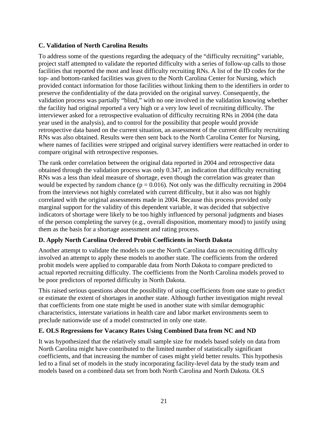# <span id="page-24-0"></span>**C. Validation of North Carolina Results**

To address some of the questions regarding the adequacy of the "difficulty recruiting" variable, project staff attempted to validate the reported difficulty with a series of follow-up calls to those facilities that reported the most and least difficulty recruiting RNs. A list of the ID codes for the top- and bottom-ranked facilities was given to the North Carolina Center for Nursing, which provided contact information for those facilities without linking them to the identifiers in order to preserve the confidentiality of the data provided on the original survey. Consequently, the validation process was partially "blind," with no one involved in the validation knowing whether the facility had original reported a very high or a very low level of recruiting difficulty. The interviewer asked for a retrospective evaluation of difficulty recruiting RNs in 2004 (the data year used in the analysis), and to control for the possibility that people would provide retrospective data based on the current situation, an assessment of the current difficulty recruiting RNs was also obtained. Results were then sent back to the North Carolina Center for Nursing, where names of facilities were stripped and original survey identifiers were reattached in order to compare original with retrospective responses.

The rank order correlation between the original data reported in 2004 and retrospective data obtained through the validation process was only 0.347, an indication that difficulty recruiting RNs was a less than ideal measure of shortage, even though the correlation was greater than would be expected by random chance ( $p = 0.016$ ). Not only was the difficulty recruiting in 2004 from the interviews not highly correlated with current difficulty, but it also was not highly correlated with the original assessments made in 2004. Because this process provided only marginal support for the validity of this dependent variable, it was decided that subjective indicators of shortage were likely to be too highly influenced by personal judgments and biases of the person completing the survey (e.g., overall disposition, momentary mood) to justify using them as the basis for a shortage assessment and rating process.

### **D. Apply North Carolina Ordered Probit Coefficients in North Dakota**

Another attempt to validate the models to use the North Carolina data on recruiting difficulty involved an attempt to apply these models to another state. The coefficients from the ordered probit models were applied to comparable data from North Dakota to compare predicted to actual reported recruiting difficulty. The coefficients from the North Carolina models proved to be poor predictors of reported difficulty in North Dakota.

This raised serious questions about the possibility of using coefficients from one state to predict or estimate the extent of shortages in another state. Although further investigation might reveal that coefficients from one state might be used in another state with similar demographic characteristics, interstate variations in health care and labor market environments seem to preclude nationwide use of a model constructed in only one state.

### **E. OLS Regressions for Vacancy Rates Using Combined Data from NC and ND**

It was hypothesized that the relatively small sample size for models based solely on data from North Carolina might have contributed to the limited number of statistically significant coefficients, and that increasing the number of cases might yield better results. This hypothesis led to a final set of models in the study incorporating facility-level data by the study team and models based on a combined data set from both North Carolina and North Dakota. OLS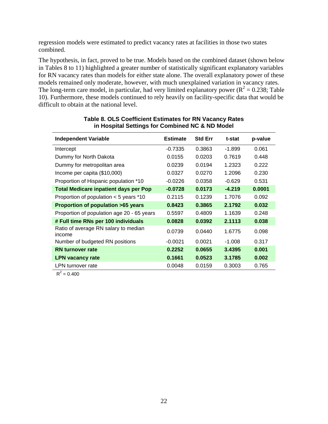<span id="page-25-0"></span>regression models were estimated to predict vacancy rates at facilities in those two states combined.

The hypothesis, in fact, proved to be true. Models based on the combined dataset (shown below in Tables 8 to 11) highlighted a greater number of statistically significant explanatory variables for RN vacancy rates than models for either state alone. The overall explanatory power of these models remained only moderate, however, with much unexplained variation in vacancy rates. The long-term care model, in particular, had very limited explanatory power ( $R^2 = 0.238$ ; Table 10). Furthermore, these models continued to rely heavily on facility-specific data that would be difficult to obtain at the national level.

| <b>Independent Variable</b>                    | <b>Estimate</b> | <b>Std Err</b> | t-stat   | p-value |
|------------------------------------------------|-----------------|----------------|----------|---------|
| Intercept                                      | $-0.7335$       | 0.3863         | $-1.899$ | 0.061   |
| Dummy for North Dakota                         | 0.0155          | 0.0203         | 0.7619   | 0.448   |
| Dummy for metropolitan area                    | 0.0239          | 0.0194         | 1.2323   | 0.222   |
| Income per capita (\$10,000)                   | 0.0327          | 0.0270         | 1.2096   | 0.230   |
| Proportion of Hispanic population *10          | $-0.0226$       | 0.0358         | $-0.629$ | 0.531   |
| <b>Total Medicare inpatient days per Pop</b>   | $-0.0728$       | 0.0173         | $-4.219$ | 0.0001  |
| Proportion of population $<$ 5 years $*10$     | 0.2115          | 0.1239         | 1.7076   | 0.092   |
| Proportion of population >65 years             | 0.8423          | 0.3865         | 2.1792   | 0.032   |
| Proportion of population age 20 - 65 years     | 0.5597          | 0.4809         | 1.1639   | 0.248   |
| # Full time RNs per 100 individuals            | 0.0828          | 0.0392         | 2.1113   | 0.038   |
| Ratio of average RN salary to median<br>income | 0.0739          | 0.0440         | 1.6775   | 0.098   |
| Number of budgeted RN positions                | $-0.0021$       | 0.0021         | -1.008   | 0.317   |
| <b>RN</b> turnover rate                        | 0.2252          | 0.0655         | 3.4395   | 0.001   |
| <b>LPN vacancy rate</b>                        | 0.1661          | 0.0523         | 3.1785   | 0.002   |
| LPN turnover rate                              | 0.0048          | 0.0159         | 0.3003   | 0.765   |

#### **Table 8. OLS Coefficient Estimates for RN Vacancy Rates in Hospital Settings for Combined NC & ND Model**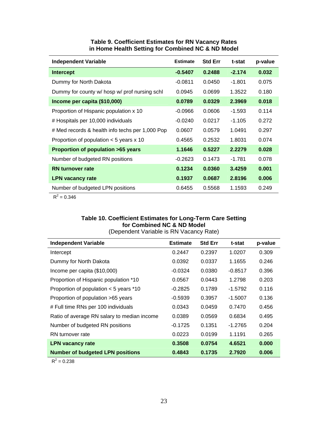<span id="page-26-0"></span>

| <b>Independent Variable</b>                     | <b>Estimate</b> | <b>Std Err</b> | t-stat   | p-value |
|-------------------------------------------------|-----------------|----------------|----------|---------|
| <b>Intercept</b>                                | $-0.5407$       | 0.2488         | $-2.174$ | 0.032   |
| Dummy for North Dakota                          | $-0.0811$       | 0.0450         | $-1.801$ | 0.075   |
| Dummy for county w/ hosp w/ prof nursing schl   | 0.0945          | 0.0699         | 1.3522   | 0.180   |
| Income per capita (\$10,000)                    | 0.0789          | 0.0329         | 2.3969   | 0.018   |
| Proportion of Hispanic population x 10          | $-0.0966$       | 0.0606         | $-1.593$ | 0.114   |
| # Hospitals per 10,000 individuals              | $-0.0240$       | 0.0217         | $-1.105$ | 0.272   |
| # Med records & health info techs per 1,000 Pop | 0.0607          | 0.0579         | 1.0491   | 0.297   |
| Proportion of population $<$ 5 years x 10       | 0.4565          | 0.2532         | 1.8031   | 0.074   |
| Proportion of population >65 years              | 1.1646          | 0.5227         | 2.2279   | 0.028   |
| Number of budgeted RN positions                 | $-0.2623$       | 0.1473         | $-1.781$ | 0.078   |
| <b>RN</b> turnover rate                         | 0.1234          | 0.0360         | 3.4259   | 0.001   |
| <b>LPN vacancy rate</b>                         | 0.1937          | 0.0687         | 2.8196   | 0.006   |
| Number of budgeted LPN positions                | 0.6455          | 0.5568         | 1.1593   | 0.249   |

#### **Table 9. Coefficient Estimates for RN Vacancy Rates in Home Health Setting for Combined NC & ND Model**

 $R^2 = 0.346$ 

#### **Table 10. Coefficient Estimates for Long-Term Care Setting for Combined NC & ND Model**  (Dependent Variable is RN Vacancy Rate)

| <b>Independent Variable</b>                 | <b>Estimate</b> | <b>Std Err</b> | t-stat    | p-value |
|---------------------------------------------|-----------------|----------------|-----------|---------|
| Intercept                                   | 0.2447          | 0.2397         | 1.0207    | 0.309   |
| Dummy for North Dakota                      | 0.0392          | 0.0337         | 1.1655    | 0.246   |
| Income per capita (\$10,000)                | $-0.0324$       | 0.0380         | $-0.8517$ | 0.396   |
| Proportion of Hispanic population *10       | 0.0567          | 0.0443         | 1.2798    | 0.203   |
| Proportion of population $<$ 5 years $*$ 10 | $-0.2825$       | 0.1789         | $-1.5792$ | 0.116   |
| Proportion of population >65 years          | $-0.5939$       | 0.3957         | $-1.5007$ | 0.136   |
| # Full time RNs per 100 individuals         | 0.0343          | 0.0459         | 0.7470    | 0.456   |
| Ratio of average RN salary to median income | 0.0389          | 0.0569         | 0.6834    | 0.495   |
| Number of budgeted RN positions             | $-0.1725$       | 0.1351         | $-1.2765$ | 0.204   |
| RN turnover rate                            | 0.0223          | 0.0199         | 1.1191    | 0.265   |
| <b>LPN vacancy rate</b>                     | 0.3508          | 0.0754         | 4.6521    | 0.000   |
| <b>Number of budgeted LPN positions</b>     | 0.4843          | 0.1735         | 2.7920    | 0.006   |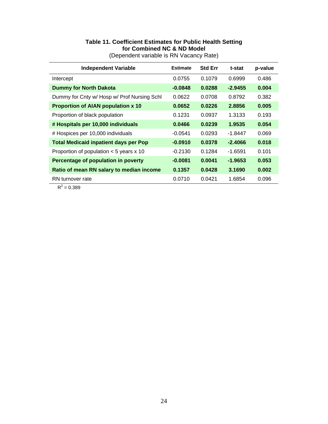<span id="page-27-0"></span>

| <b>Independent Variable</b>                  | <b>Estimate</b>            | <b>Std Err</b> | t-stat    | p-value |
|----------------------------------------------|----------------------------|----------------|-----------|---------|
| Intercept                                    | 0.0755                     | 0.1079         | 0.6999    | 0.486   |
| <b>Dummy for North Dakota</b>                | $-0.0848$                  | 0.0288         | $-2.9455$ | 0.004   |
| Dummy for Cnty w/ Hosp w/ Prof Nursing Schl  | 0.0622<br>0.0708<br>0.8792 |                |           | 0.382   |
| <b>Proportion of AIAN population x 10</b>    | 0.0652                     | 0.0226         | 2.8856    | 0.005   |
| Proportion of black population               | 0.1231                     | 0.0937         | 1.3133    | 0.193   |
| # Hospitals per 10,000 individuals           | 0.0466                     | 0.0239         | 1.9535    | 0.054   |
| # Hospices per 10,000 individuals            | $-0.0541$                  | 0.0293         | $-1.8447$ | 0.069   |
| <b>Total Medicaid inpatient days per Pop</b> | $-0.0910$                  | 0.0378         | $-2.4066$ | 0.018   |
| Proportion of population $<$ 5 years x 10    | $-0.2130$                  | 0.1284         | $-1.6591$ | 0.101   |
| Percentage of population in poverty          | $-0.0081$                  | 0.0041         | -1.9653   | 0.053   |
| Ratio of mean RN salary to median income     | 0.1357                     | 0.0428         | 3.1690    | 0.002   |
| RN turnover rate                             | 0.0710                     | 0.0421         | 1.6854    | 0.096   |

#### **Table 11. Coefficient Estimates for Public Health Setting for Combined NC & ND Model**  (Dependent variable is RN Vacancy Rate)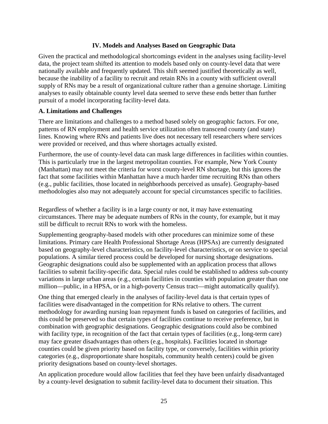### **IV. Models and Analyses Based on Geographic Data**

<span id="page-28-0"></span>Given the practical and methodological shortcomings evident in the analyses using facility-level data, the project team shifted its attention to models based only on county-level data that were nationally available and frequently updated. This shift seemed justified theoretically as well, because the inability of a facility to recruit and retain RNs in a county with sufficient overall supply of RNs may be a result of organizational culture rather than a genuine shortage. Limiting analyses to easily obtainable county level data seemed to serve these ends better than further pursuit of a model incorporating facility-level data.

#### **A. Limitations and Challenges**

There are limitations and challenges to a method based solely on geographic factors. For one, patterns of RN employment and health service utilization often transcend county (and state) lines. Knowing where RNs and patients live does not necessary tell researchers where services were provided or received, and thus where shortages actually existed.

Furthermore, the use of county-level data can mask large differences in facilities within counties. This is particularly true in the largest metropolitan counties. For example, New York County (Manhattan) may not meet the criteria for worst county-level RN shortage, but this ignores the fact that some facilities within Manhattan have a much harder time recruiting RNs than others (e.g., public facilities, those located in neighborhoods perceived as unsafe). Geography-based methodologies also may not adequately account for special circumstances specific to facilities.

Regardless of whether a facility is in a large county or not, it may have extenuating circumstances. There may be adequate numbers of RNs in the county, for example, but it may still be difficult to recruit RNs to work with the homeless.

Supplementing geography-based models with other procedures can minimize some of these limitations. Primary care Health Professional Shortage Areas (HPSAs) are currently designated based on geography-level characteristics, on facility-level characteristics, or on service to special populations. A similar tiered process could be developed for nursing shortage designations. Geographic designations could also be supplemented with an application process that allows facilities to submit facility-specific data. Special rules could be established to address sub-county variations in large urban areas (e.g., certain facilities in counties with population greater than one million—public, in a HPSA, or in a high-poverty Census tract—might automatically qualify).

One thing that emerged clearly in the analyses of facility-level data is that certain types of facilities were disadvantaged in the competition for RNs relative to others. The current methodology for awarding nursing loan repayment funds is based on categories of facilities, and this could be preserved so that certain types of facilities continue to receive preference, but in combination with geographic designations. Geographic designations could also be combined with facility type, in recognition of the fact that certain types of facilities (e.g., long-term care) may face greater disadvantages than others (e.g., hospitals). Facilities located in shortage counties could be given priority based on facility type, or conversely, facilities within priority categories (e.g., disproportionate share hospitals, community health centers) could be given priority designations based on county-level shortages.

An application procedure would allow facilities that feel they have been unfairly disadvantaged by a county-level designation to submit facility-level data to document their situation. This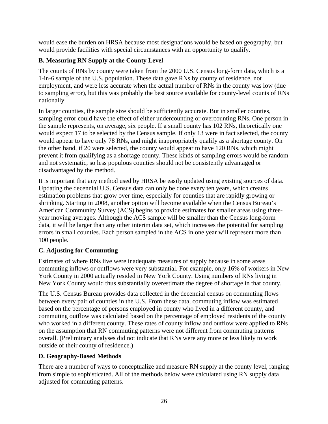<span id="page-29-0"></span>would ease the burden on HRSA because most designations would be based on geography, but would provide facilities with special circumstances with an opportunity to qualify.

# **B. Measuring RN Supply at the County Level**

The counts of RNs by county were taken from the 2000 U.S. Census long-form data, which is a 1-in-6 sample of the U.S. population. These data gave RNs by county of residence, not employment, and were less accurate when the actual number of RNs in the county was low (due to sampling error), but this was probably the best source available for county-level counts of RNs nationally.

In larger counties, the sample size should be sufficiently accurate. But in smaller counties, sampling error could have the effect of either undercounting or overcounting RNs. One person in the sample represents, on average, six people. If a small county has 102 RNs, theoretically one would expect 17 to be selected by the Census sample. If only 13 were in fact selected, the county would appear to have only 78 RNs, and might inappropriately qualify as a shortage county. On the other hand, if 20 were selected, the county would appear to have 120 RNs, which might prevent it from qualifying as a shortage county. These kinds of sampling errors would be random and not systematic, so less populous counties should not be consistently advantaged or disadvantaged by the method.

It is important that any method used by HRSA be easily updated using existing sources of data. Updating the decennial U.S. Census data can only be done every ten years, which creates estimation problems that grow over time, especially for counties that are rapidly growing or shrinking. Starting in 2008, another option will become available when the Census Bureau's American Community Survey (ACS) begins to provide estimates for smaller areas using threeyear moving averages. Although the ACS sample will be smaller than the Census long-form data, it will be larger than any other interim data set, which increases the potential for sampling errors in small counties. Each person sampled in the ACS in one year will represent more than 100 people.

# **C. Adjusting for Commuting**

Estimates of where RNs live were inadequate measures of supply because in some areas commuting inflows or outflows were very substantial. For example, only 16% of workers in New York County in 2000 actually resided in New York County. Using numbers of RNs living in New York County would thus substantially overestimate the degree of shortage in that county.

The U.S. Census Bureau provides data collected in the decennial census on commuting flows between every pair of counties in the U.S. From these data, commuting inflow was estimated based on the percentage of persons employed in county who lived in a different county, and commuting outflow was calculated based on the percentage of employed residents of the county who worked in a different county. These rates of county inflow and outflow were applied to RNs on the assumption that RN commuting patterns were not different from commuting patterns overall. (Preliminary analyses did not indicate that RNs were any more or less likely to work outside of their county of residence.)

# **D. Geography-Based Methods**

There are a number of ways to conceptualize and measure RN supply at the county level, ranging from simple to sophisticated. All of the methods below were calculated using RN supply data adjusted for commuting patterns.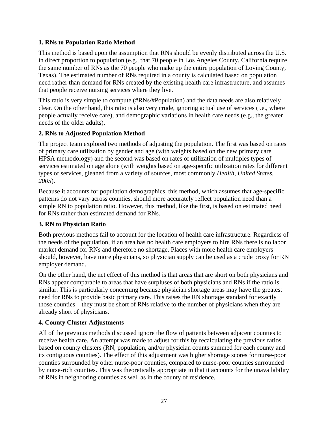# <span id="page-30-0"></span>**1. RNs to Population Ratio Method**

This method is based upon the assumption that RNs should be evenly distributed across the U.S. in direct proportion to population (e.g., that 70 people in Los Angeles County, California require the same number of RNs as the 70 people who make up the entire population of Loving County, Texas). The estimated number of RNs required in a county is calculated based on population need rather than demand for RNs created by the existing health care infrastructure, and assumes that people receive nursing services where they live.

This ratio is very simple to compute (#RNs/#Population) and the data needs are also relatively clear. On the other hand, this ratio is also very crude, ignoring actual use of services (i.e., where people actually receive care), and demographic variations in health care needs (e.g., the greater needs of the older adults).

# **2. RNs to Adjusted Population Method**

The project team explored two methods of adjusting the population. The first was based on rates of primary care utilization by gender and age (with weights based on the new primary care HPSA methodology) and the second was based on rates of utilization of multiples types of services estimated on age alone (with weights based on age-specific utilization rates for different types of services, gleaned from a variety of sources, most commonly *Health, United States, 2005*).

Because it accounts for population demographics, this method, which assumes that age-specific patterns do not vary across counties, should more accurately reflect population need than a simple RN to population ratio. However, this method, like the first, is based on estimated need for RNs rather than estimated demand for RNs.

### **3. RN to Physician Ratio**

Both previous methods fail to account for the location of health care infrastructure. Regardless of the needs of the population, if an area has no health care employers to hire RNs there is no labor market demand for RNs and therefore no shortage. Places with more health care employers should, however, have more physicians, so physician supply can be used as a crude proxy for RN employer demand.

On the other hand, the net effect of this method is that areas that are short on both physicians and RNs appear comparable to areas that have surpluses of both physicians and RNs if the ratio is similar. This is particularly concerning because physician shortage areas may have the greatest need for RNs to provide basic primary care. This raises the RN shortage standard for exactly those counties—they must be short of RNs relative to the number of physicians when they are already short of physicians.

# **4. County Cluster Adjustments**

All of the previous methods discussed ignore the flow of patients between adjacent counties to receive health care. An attempt was made to adjust for this by recalculating the previous ratios based on county clusters (RN, population, and/or physician counts summed for each county and its contiguous counties). The effect of this adjustment was higher shortage scores for nurse-poor counties surrounded by other nurse-poor counties, compared to nurse-poor counties surrounded by nurse-rich counties. This was theoretically appropriate in that it accounts for the unavailability of RNs in neighboring counties as well as in the county of residence.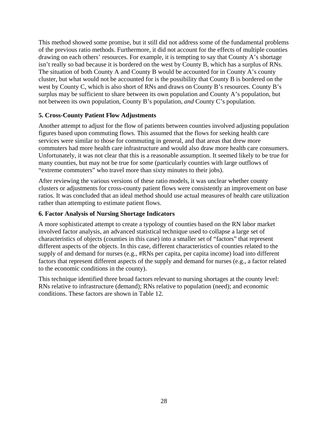<span id="page-31-0"></span>This method showed some promise, but it still did not address some of the fundamental problems of the previous ratio methods. Furthermore, it did not account for the effects of multiple counties drawing on each others' resources. For example, it is tempting to say that County A's shortage isn't really so bad because it is bordered on the west by County B, which has a surplus of RNs. The situation of both County A and County B would be accounted for in County A's county cluster, but what would not be accounted for is the possibility that County B is bordered on the west by County C, which is also short of RNs and draws on County B's resources. County B's surplus may be sufficient to share between its own population and County A's population, but not between its own population, County B's population, *and* County C's population.

### **5. Cross-County Patient Flow Adjustments**

Another attempt to adjust for the flow of patients between counties involved adjusting population figures based upon commuting flows. This assumed that the flows for seeking health care services were similar to those for commuting in general, and that areas that drew more commuters had more health care infrastructure and would also draw more health care consumers. Unfortunately, it was not clear that this is a reasonable assumption. It seemed likely to be true for many counties, but may not be true for some (particularly counties with large outflows of "extreme commuters" who travel more than sixty minutes to their jobs).

After reviewing the various versions of these ratio models, it was unclear whether county clusters or adjustments for cross-county patient flows were consistently an improvement on base ratios. It was concluded that an ideal method should use actual measures of health care utilization rather than attempting to estimate patient flows.

### **6. Factor Analysis of Nursing Shortage Indicators**

A more sophisticated attempt to create a typology of counties based on the RN labor market involved factor analysis, an advanced statistical technique used to collapse a large set of characteristics of objects (counties in this case) into a smaller set of "factors" that represent different aspects of the objects. In this case, different characteristics of counties related to the supply of and demand for nurses (e.g., #RNs per capita, per capita income) load into different factors that represent different aspects of the supply and demand for nurses (e.g., a factor related to the economic conditions in the county).

This technique identified three broad factors relevant to nursing shortages at the county level: RNs relative to infrastructure (demand); RNs relative to population (need); and economic conditions. These factors are shown in Table 12.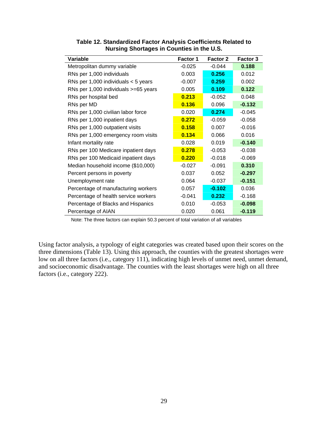| Variable                              | Factor 1 | <b>Factor 2</b> | <b>Factor 3</b> |
|---------------------------------------|----------|-----------------|-----------------|
| Metropolitan dummy variable           | $-0.025$ | $-0.044$        | 0.188           |
| RNs per 1,000 individuals             | 0.003    | 0.256           | 0.012           |
| RNs per 1,000 individuals $<$ 5 years | $-0.007$ | 0.259           | 0.002           |
| RNs per 1,000 individuals >=65 years  | 0.005    | 0.109           | 0.122           |
| RNs per hospital bed                  | 0.213    | $-0.052$        | 0.048           |
| RNs per MD                            | 0.136    | 0.096           | $-0.132$        |
| RNs per 1,000 civilian labor force    | 0.020    | 0.274           | $-0.045$        |
| RNs per 1,000 inpatient days          | 0.272    | $-0.059$        | $-0.058$        |
| RNs per 1,000 outpatient visits       | 0.158    | 0.007           | $-0.016$        |
| RNs per 1,000 emergency room visits   | 0.134    | 0.066           | 0.016           |
| Infant mortality rate                 | 0.028    | 0.019           | $-0.140$        |
| RNs per 100 Medicare inpatient days   | 0.278    | $-0.053$        | $-0.038$        |
| RNs per 100 Medicaid inpatient days   | 0.220    | $-0.018$        | $-0.069$        |
| Median household income (\$10,000)    | $-0.027$ | $-0.091$        | 0.310           |
| Percent persons in poverty            | 0.037    | 0.052           | $-0.297$        |
| Unemployment rate                     | 0.064    | $-0.037$        | $-0.151$        |
| Percentage of manufacturing workers   | 0.057    | $-0.102$        | 0.036           |
| Percentage of health service workers  | $-0.041$ | 0.232           | $-0.168$        |
| Percentage of Blacks and Hispanics    | 0.010    | $-0.053$        | $-0.098$        |
| Percentage of AIAN                    | 0.020    | 0.061           | $-0.119$        |

#### <span id="page-32-0"></span>**Table 12. Standardized Factor Analysis Coefficients Related to Nursing Shortages in Counties in the U.S.**

Note: The three factors can explain 50.3 percent of total variation of all variables

Using factor analysis, a typology of eight categories was created based upon their scores on the three dimensions (Table 13). Using this approach, the counties with the greatest shortages were low on all three factors (i.e., category 111), indicating high levels of unmet need, unmet demand, and socioeconomic disadvantage. The counties with the least shortages were high on all three factors (i.e., category 222).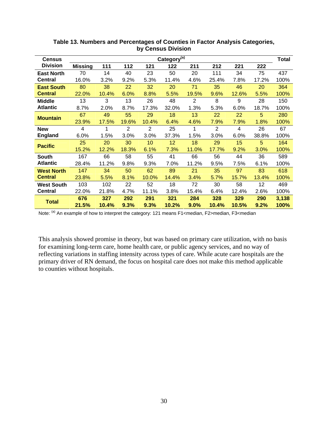<span id="page-33-0"></span>

| <b>Census</b>     | Category <sup>(a)</sup> |       |                |                |       |                | <b>Total</b> |       |       |       |
|-------------------|-------------------------|-------|----------------|----------------|-------|----------------|--------------|-------|-------|-------|
| <b>Division</b>   | <b>Missing</b>          | 111   | 112            | 121            | 122   | 211            | 212          | 221   | 222   |       |
| <b>East North</b> | 70                      | 14    | 40             | 23             | 50    | 20             | 111          | 34    | 75    | 437   |
| <b>Central</b>    | 16.0%                   | 3.2%  | 9.2%           | 5.3%           | 11.4% | 4.6%           | 25.4%        | 7.8%  | 17.2% | 100%  |
| <b>East South</b> | 80                      | 38    | 22             | 32             | 20    | 71             | 35           | 46    | 20    | 364   |
| <b>Central</b>    | 22.0%                   | 10.4% | 6.0%           | 8.8%           | 5.5%  | 19.5%          | 9.6%         | 12.6% | 5.5%  | 100%  |
| <b>Middle</b>     | 13                      | 3     | 13             | 26             | 48    | $\overline{2}$ | 8            | 9     | 28    | 150   |
| <b>Atlantic</b>   | 8.7%                    | 2.0%  | 8.7%           | 17.3%          | 32.0% | 1.3%           | 5.3%         | 6.0%  | 18.7% | 100%  |
| <b>Mountain</b>   | 67                      | 49    | 55             | 29             | 18    | 13             | 22           | 22    | 5     | 280   |
|                   | 23.9%                   | 17.5% | 19.6%          | 10.4%          | 6.4%  | 4.6%           | 7.9%         | 7.9%  | 1.8%  | 100%  |
| <b>New</b>        | 4                       | 1     | $\overline{2}$ | $\overline{2}$ | 25    | 1              | 2            | 4     | 26    | 67    |
| <b>England</b>    | 6.0%                    | 1.5%  | 3.0%           | 3.0%           | 37.3% | 1.5%           | 3.0%         | 6.0%  | 38.8% | 100%  |
| <b>Pacific</b>    | 25                      | 20    | 30             | 10             | 12    | 18             | 29           | 15    | 5     | 164   |
|                   | 15.2%                   | 12.2% | 18.3%          | 6.1%           | 7.3%  | 11.0%          | 17.7%        | 9.2%  | 3.0%  | 100%  |
| <b>South</b>      | 167                     | 66    | 58             | 55             | 41    | 66             | 56           | 44    | 36    | 589   |
| <b>Atlantic</b>   | 28.4%                   | 11.2% | 9.8%           | 9.3%           | 7.0%  | 11.2%          | 9.5%         | 7.5%  | 6.1%  | 100%  |
| <b>West North</b> | 147                     | 34    | 50             | 62             | 89    | 21             | 35           | 97    | 83    | 618   |
| <b>Central</b>    | 23.8%                   | 5.5%  | 8.1%           | 10.0%          | 14.4% | 3.4%           | 5.7%         | 15.7% | 13.4% | 100%  |
| <b>West South</b> | 103                     | 102   | 22             | 52             | 18    | 72             | 30           | 58    | 12    | 469   |
| <b>Central</b>    | 22.0%                   | 21.8% | 4.7%           | 11.1%          | 3.8%  | 15.4%          | 6.4%         | 12.4% | 2.6%  | 100%  |
| <b>Total</b>      | 676                     | 327   | 292            | 291            | 321   | 284            | 328          | 329   | 290   | 3,138 |
|                   | 21.5%                   | 10.4% | 9.3%           | 9.3%           | 10.2% | 9.0%           | 10.4%        | 10.5% | 9.2%  | 100%  |

**Table 13. Numbers and Percentages of Counties in Factor Analysis Categories, by Census Division** 

Note: <sup>(a)</sup> An example of how to interpret the category: 121 means F1<median, F2>median, F3<median

This analysis showed promise in theory, but was based on primary care utilization, with no basis for examining long-term care, home health care, or public agency services, and no way of reflecting variations in staffing intensity across types of care. While acute care hospitals are the primary driver of RN demand, the focus on hospital care does not make this method applicable to counties without hospitals.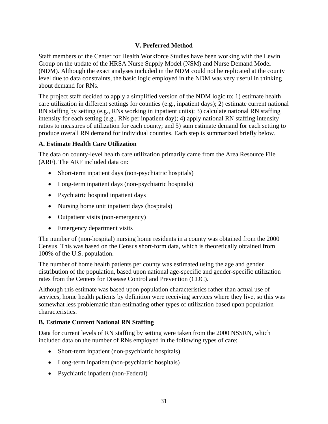# **V. Preferred Method**

<span id="page-34-0"></span>Staff members of the Center for Health Workforce Studies have been working with the Lewin Group on the update of the HRSA Nurse Supply Model (NSM) and Nurse Demand Model (NDM). Although the exact analyses included in the NDM could not be replicated at the county level due to data constraints, the basic logic employed in the NDM was very useful in thinking about demand for RNs.

The project staff decided to apply a simplified version of the NDM logic to: 1) estimate health care utilization in different settings for counties (e.g., inpatient days); 2) estimate current national RN staffing by setting (e.g., RNs working in inpatient units); 3) calculate national RN staffing intensity for each setting (e.g., RNs per inpatient day); 4) apply national RN staffing intensity ratios to measures of utilization for each county; and 5) sum estimate demand for each setting to produce overall RN demand for individual counties. Each step is summarized briefly below.

# **A. Estimate Health Care Utilization**

The data on county-level health care utilization primarily came from the Area Resource File (ARF). The ARF included data on:

- Short-term inpatient days (non-psychiatric hospitals)
- Long-term inpatient days (non-psychiatric hospitals)
- Psychiatric hospital inpatient days
- Nursing home unit inpatient days (hospitals)
- Outpatient visits (non-emergency)
- Emergency department visits

The number of (non-hospital) nursing home residents in a county was obtained from the 2000 Census. This was based on the Census short-form data, which is theoretically obtained from 100% of the U.S. population.

The number of home health patients per county was estimated using the age and gender distribution of the population, based upon national age-specific and gender-specific utilization rates from the Centers for Disease Control and Prevention (CDC).

Although this estimate was based upon population characteristics rather than actual use of services, home health patients by definition were receiving services where they live, so this was somewhat less problematic than estimating other types of utilization based upon population characteristics.

# **B. Estimate Current National RN Staffing**

Data for current levels of RN staffing by setting were taken from the 2000 NSSRN, which included data on the number of RNs employed in the following types of care:

- Short-term inpatient (non-psychiatric hospitals)
- Long-term inpatient (non-psychiatric hospitals)
- Psychiatric inpatient (non-Federal)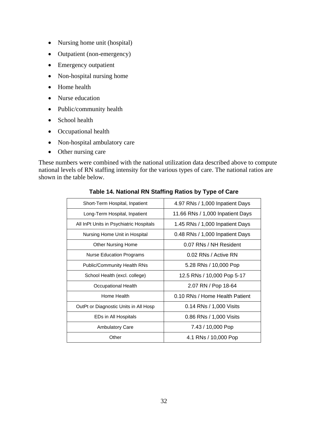- <span id="page-35-0"></span>• Nursing home unit (hospital)
- Outpatient (non-emergency)
- Emergency outpatient
- Non-hospital nursing home
- Home health
- Nurse education
- Public/community health
- School health
- Occupational health
- Non-hospital ambulatory care
- Other nursing care

national levels of RN staffing intensity for the various types of care. The national ratios are shown in the table below. These numbers were combined with the national utilization data described above to compute

| Short-Term Hospital, Inpatient          | 4.97 RNs / 1,000 Inpatient Days  |  |  |  |
|-----------------------------------------|----------------------------------|--|--|--|
| Long-Term Hospital, Inpatient           | 11.66 RNs / 1,000 Inpatient Days |  |  |  |
| All InPt Units in Psychiatric Hospitals | 1.45 RNs / 1,000 Inpatient Days  |  |  |  |
| Nursing Home Unit in Hospital           | 0.48 RNs / 1,000 Inpatient Days  |  |  |  |
| <b>Other Nursing Home</b>               | 0.07 RNs / NH Resident           |  |  |  |
| <b>Nurse Education Programs</b>         | 0.02 RNs / Active RN             |  |  |  |
| <b>Public/Community Health RNs</b>      | 5.28 RNs / 10,000 Pop            |  |  |  |
| School Health (excl. college)           | 12.5 RNs / 10,000 Pop 5-17       |  |  |  |
| Occupational Health                     | 2.07 RN / Pop 18-64              |  |  |  |
| Home Health                             | 0.10 RNs / Home Health Patient   |  |  |  |
| OutPt or Diagnostic Units in All Hosp   | 0.14 RNs / 1,000 Visits          |  |  |  |
| EDs in All Hospitals                    | 0.86 RNs / 1,000 Visits          |  |  |  |
| <b>Ambulatory Care</b>                  | 7.43 / 10,000 Pop                |  |  |  |
| Other                                   | 4.1 RNs / 10,000 Pop             |  |  |  |
|                                         |                                  |  |  |  |

**Table 14. National RN Staffing Ratios by Type of Care**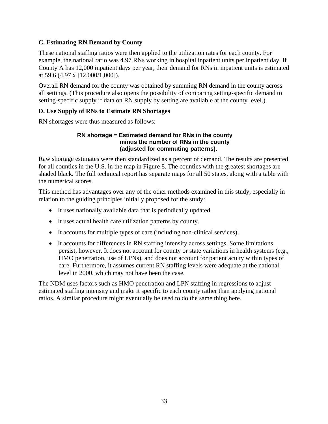# <span id="page-36-0"></span>**C. Estimating RN Demand by County**

These national staffing ratios were then applied to the utilization rates for each county. For County A has 12,000 inpatient days per year, their demand for RNs in inpatient units is estimated example, the national ratio was 4.97 RNs working in hospital inpatient units per inpatient day. If at 59.6 (4.97 x [12,000/1,000]).

Overall RN demand for the county was obtained by summing RN demand in the county across all settings. (This procedure also opens the possibility of comparing setting-specific demand to setting-specific supply if data on RN supply by setting are available at the county level.)

# **D. Use Supply of RNs to Estimate RN Shortages**

RN shortages w ere thus measured as follows:

#### **RN shortage = Estimated demand for RNs in the county minus the number of RNs in the county (adjusted for commuting patterns).**

Raw shortage estimates were then standardized as a percent of demand. The results are presented shaded black. The full technical report has separate maps for all 50 states, along with a table with for all counties in the U.S. in the map in Figure 8. The counties with the greatest shortages are the numerical scores.

This method has advantages over any of the other methods examined in this study, especially in relation to the guiding principles initially proposed for the study:

- It uses nationally available data that is periodically updated.
- It uses actual health care utilization patterns by county.
- It accounts for multiple types of care (including non-clinical services).
- It accounts for differences in RN staffing intensity across settings. Some limitations persist, however. It does not account for county or state variations in health systems (e.g., HMO penetration, use of LPNs), and does not account for patient acuity within types of care. Furthermore, it assumes current RN staffing levels were adequate at the national level in 2000, which may not have been the case.

The NDM uses factors such as HMO penetration and LPN staffing in regressions to adjust estimated staffing intensity and make it specific to each county rather than applying national ratios. A similar procedure might eventually be used to do the same thing here.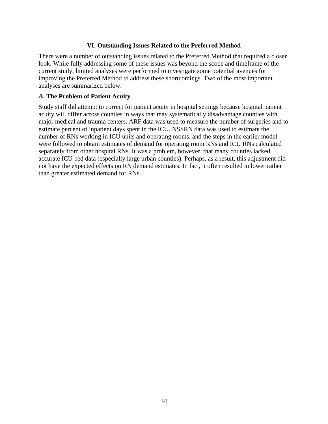#### **VI. Outstanding Issues Related to the Preferred Method**

<span id="page-37-0"></span>There were a number of outstanding issues related to the Preferred Method that required a closer look. While fully addressing some of these issues was beyond the scope and timeframe of the current study, limited analyses were performed to investigate some potential avenues for improving the Preferred Method to address these shortcomings. Two of the most important analyses are summarized below.

#### **A. The Problem of Patient Acuity**

Study staff did attempt to correct for patient acuity in hospital settings because hospital patient acuity will differ across counties in ways that may systematically disadvantage counties with major medical and trauma centers. ARF data was used to measure the number of surgeries and to estimate percent of inpatient days spent in the ICU. NSSRN data was used to estimate the number of RNs working in ICU units and operating rooms, and the steps in the earlier model were followed to obtain estimates of demand for operating room RNs and ICU RNs calculated separately from other hospital RNs. It was a problem, however, that many counties lacked accurate ICU bed data (especially large urban counties). Perhaps, as a result, this adjustment did not have the expected effects on RN demand estimates. In fact, it often resulted in lower rather than greater estimated demand for RNs.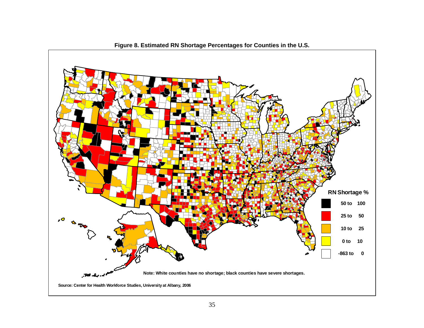<span id="page-38-0"></span>

**Figure 8. Estimated RN Shortage Percentages for Counties in the U.S.**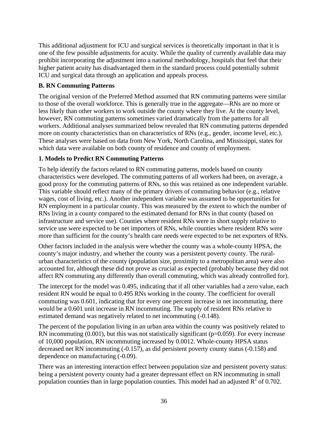<span id="page-39-0"></span>This additional adjustment for ICU and surgical services is theoretically important in that it is one of the few possible adjustments for acuity. While the quality of currently available data may prohibit incorporating the adjustment into a national methodology, hospitals that feel that their higher patient acuity has disadvantaged them in the standard process could potentially submit ICU and surgical data through an application and appeals process.

## **B. RN Commuting Patterns**

The original version of the Preferred Method assumed that RN commuting patterns were similar to those of the overall workforce. This is generally true in the aggregate—RNs are no more or less likely than other workers to work outside the county where they live. At the county level, however, RN commuting patterns sometimes varied dramatically from the patterns for all workers. Additional analyses summarized below revealed that RN commuting patterns depended more on county characteristics than on characteristics of RNs (e.g., gender, income level, etc.). These analyses were based on data from New York, North Carolina, and Mississippi, states for which data were available on both county of residence and county of employment.

# **1. Models to Predict RN Commuting Patterns**

To help identify the factors related to RN commuting patterns, models based on county characteristics were developed. The commuting patterns of all workers had been, on average, a good proxy for the commuting patterns of RNs, so this was retained as one independent variable. This variable should reflect many of the primary drivers of commuting behavior (e.g., relative wages, cost of living, etc.). Another independent variable was assumed to be opportunities for RN employment in a particular county. This was measured by the extent to which the number of RNs living in a county compared to the estimated demand for RNs in that county (based on infrastructure and service use). Counties where resident RNs were in short supply relative to service use were expected to be net importers of RNs, while counties where resident RNs were more than sufficient for the county's health care needs were expected to be net exporters of RNs.

Other factors included in the analysis were whether the county was a whole-county HPSA, the county's major industry, and whether the county was a persistent poverty county. The ruralurban characteristics of the county (population size, proximity to a metropolitan area) were also accounted for, although these did not prove as crucial as expected (probably because they did not affect RN commuting any differently than overall commuting, which was already controlled for).

The intercept for the model was 0.495, indicating that if all other variables had a zero value, each resident RN would be equal to 0.495 RNs working in the county. The coefficient for overall commuting was 0.601, indicating that for every one percent increase in net incommuting, there would be a 0.601 unit increase in RN incommuting. The supply of resident RNs relative to estimated demand was negatively related to net incommuting (-0.148).

The percent of the population living in an urban area within the county was positively related to RN incommuting  $(0.001)$ , but this was not statistically significant ( $p=0.059$ ). For every increase of 10,000 population, RN incommuting increased by 0.0012. Whole-county HPSA status decreased net RN incommuting (-0.157), as did persistent poverty county status (-0.158) and dependence on manufacturing (-0.09).

There was an interesting interaction effect between population size and persistent poverty status: being a persistent poverty county had a greater depressant effect on RN incommuting in small population counties than in large population counties. This model had an adjusted  $R^2$  of 0.702.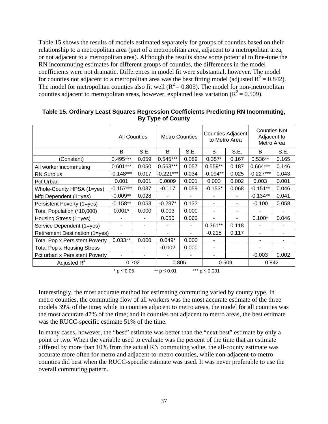<span id="page-40-0"></span>Table 15 shows the results of models estimated separately for groups of counties based on their relationship to a metropolitan area (part of a metropolitan area, adjacent to a metropolitan area, or not adjacent to a metropolitan area). Although the results show some potential to fine-tune the RN incommuting estimates for different groups of counties, the differences in the model coefficients were not dramatic. Differences in model fit were substantial, however. The model for counties not adjacent to a metropolitan area was the best fitting model (adjusted  $R^2 = 0.842$ ). The model for metropolitan counties also fit well ( $R^2 = 0.805$ ). The model for non-metropolitan counties adjacent to metropolitan areas, however, explained less variation ( $R^2 = 0.509$ ).

|                                       | <b>All Counties</b>                                |       | <b>Metro Counties</b> |                | <b>Counties Adjacent</b><br>to Metro Area |       | <b>Counties Not</b><br>Adjacent to<br>Metro Area |       |
|---------------------------------------|----------------------------------------------------|-------|-----------------------|----------------|-------------------------------------------|-------|--------------------------------------------------|-------|
|                                       | B                                                  | S.E.  | B                     | S.E.           | B                                         | S.E.  | B                                                | S.E.  |
| (Constant)                            | $0.495***$                                         | 0.059 | $0.545***$            | 0.089          | $0.357*$                                  | 0.167 | $0.536**$                                        | 0.165 |
| All worker incommuting                | $0.601***$                                         | 0.050 | $0.563***$            | 0.057          | $0.559**$                                 | 0.187 | $0.664***$                                       | 0.146 |
| <b>RN Surplus</b>                     | $-0.148***$                                        | 0.017 | $-0.221***$           | 0.034          | $-0.094**$                                | 0.025 | $-0.227***$                                      | 0.043 |
| Pct Urban                             | 0.001                                              | 0.001 | 0.0009                | 0.001          | 0.003                                     | 0.002 | 0.003                                            | 0.001 |
| Whole-County HPSA (1=yes)             | $-0.157***$                                        | 0.037 | $-0.117$              | 0.059          | $-0.153*$                                 | 0.068 | $-0.151**$                                       | 0.046 |
| Mfg Dependent (1=yes)                 | $-0.009**$                                         | 0.028 |                       |                |                                           |       | $-0.134**$                                       | 0.041 |
| Persistent Poverty (1=yes)            | $-0.158**$                                         | 0.053 | $-0.287*$             | 0.133          |                                           |       | $-0.100$                                         | 0.058 |
| Total Population (*10,000)            | $0.001*$                                           | 0.000 | 0.003                 | 0.000          |                                           | ٠     |                                                  |       |
| Housing Stress (1=yes)                |                                                    |       | 0.050                 | 0.065          |                                           | ۰     | $0.100*$                                         | 0.046 |
| Service Dependent (1=yes)             |                                                    |       |                       | $\blacksquare$ | $0.361**$                                 | 0.118 |                                                  |       |
| Retirement Destination (1=yes)        | $\blacksquare$                                     | -     | $\blacksquare$        | ٠              | $-0.215$                                  | 0.117 | ٠                                                | ۰     |
| <b>Total Pop x Persistent Poverty</b> | $0.033**$                                          | 0.000 | $0.049*$              | 0.000          |                                           |       | ۰                                                |       |
| <b>Total Pop x Housing Stress</b>     | $\blacksquare$                                     |       | $-0.002$              | 0.000          |                                           |       |                                                  |       |
| Pct urban x Persistent Poverty        | ۰                                                  |       |                       |                |                                           |       | $-0.003$                                         | 0.002 |
| Adjusted $R^2$                        | 0.702                                              |       | 0.805                 |                | 0.509                                     |       | 0.842                                            |       |
|                                       | *** $p \le 0.001$<br>** $p ≤ 0.01$<br>$*$ p ≤ 0.05 |       |                       |                |                                           |       |                                                  |       |

**Table 15. Ordinary Least Squares Regression Coefficients Predicting RN Incommuting, By Type of County** 

Interestingly, the most accurate method for estimating commuting varied by county type. In metro counties, the commuting flow of all workers was the most accurate estimate of the three models 39% of the time; while in counties adjacent to metro areas, the model for all counties was the most accurate 47% of the time; and in counties not adjacent to metro areas, the best estimate was the RUCC-specific estimate 51% of the time.

In many cases, however, the "best" estimate was better than the "next best" estimate by only a point or two. When the variable used to evaluate was the percent of the time that an estimate differed by more than 10% from the actual RN commuting value, the all-county estimate was accurate more often for metro and adjacent-to-metro counties, while non-adjacent-to-metro counties did best when the RUCC-specific estimate was used. It was never preferable to use the overall commuting pattern.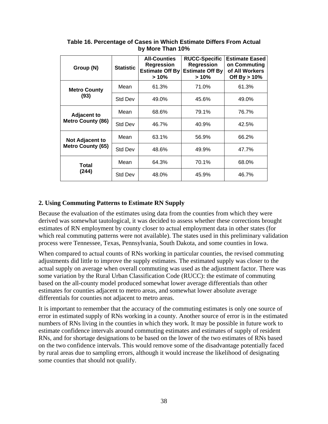| Group (N)                                      | <b>Statistic</b> | <b>All-Counties</b><br><b>Regression</b><br><b>Estimate Off By</b><br>$>10\%$ | <b>RUCC-Specific</b><br><b>Regression</b><br><b>Estimate Off By</b><br>$>10\%$ | <b>Estimate Eased</b><br>on Commuting<br>of All Workers<br>Off By $> 10\%$ |
|------------------------------------------------|------------------|-------------------------------------------------------------------------------|--------------------------------------------------------------------------------|----------------------------------------------------------------------------|
| <b>Metro County</b>                            | Mean             | 61.3%                                                                         | 71.0%                                                                          | 61.3%                                                                      |
| (93)                                           | Std Dev          | 49.0%                                                                         | 45.6%                                                                          | 49.0%                                                                      |
| <b>Adjacent to</b><br><b>Metro County (86)</b> | Mean             | 68.6%                                                                         | 79.1%                                                                          | 76.7%                                                                      |
|                                                | <b>Std Dev</b>   | 46.7%                                                                         | 40.9%                                                                          | 42.5%                                                                      |
| Not Adjacent to                                | Mean             | 63.1%                                                                         | 56.9%                                                                          | 66.2%                                                                      |
| <b>Metro County (65)</b>                       | Std Dev          | 48.6%                                                                         | 49.9%                                                                          | 47.7%                                                                      |
| Total<br>(244)                                 | Mean             | 64.3%                                                                         | 70.1%                                                                          | 68.0%                                                                      |
|                                                | <b>Std Dev</b>   | 48.0%                                                                         | 45.9%                                                                          | 46.7%                                                                      |

<span id="page-41-0"></span>**Table 16. Percentage of Cases in Which Estimate Differs From Actual by More Than 10%** 

# **2. Using Commuting Patterns to Estimate RN Supply**

Because the evaluation of the estimates using data from the counties from which they were derived was somewhat tautological, it was decided to assess whether these corrections brought estimates of RN employment by county closer to actual employment data in other states (for which real commuting patterns were not available). The states used in this preliminary validation process were Tennessee, Texas, Pennsylvania, South Dakota, and some counties in Iowa.

When compared to actual counts of RNs working in particular counties, the revised commuting adjustments did little to improve the supply estimates. The estimated supply was closer to the actual supply on average when overall commuting was used as the adjustment factor. There was some variation by the Rural Urban Classification Code (RUCC): the estimate of commuting based on the all-county model produced somewhat lower average differentials than other estimates for counties adjacent to metro areas, and somewhat lower absolute average differentials for counties not adjacent to metro areas.

It is important to remember that the accuracy of the commuting estimates is only one source of error in estimated supply of RNs working in a county. Another source of error is in the estimated numbers of RNs living in the counties in which they work. It may be possible in future work to estimate confidence intervals around commuting estimates and estimates of supply of resident RNs, and for shortage designations to be based on the lower of the two estimates of RNs based on the two confidence intervals. This would remove some of the disadvantage potentially faced by rural areas due to sampling errors, although it would increase the likelihood of designating some counties that should not qualify.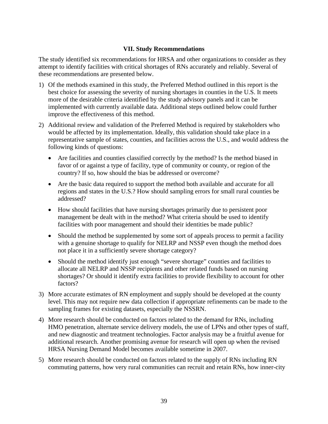#### **VII. Study Recommendations**

<span id="page-42-0"></span>The study identified six recommendations for HRSA and other organizations to consider as they attempt to identify facilities with critical shortages of RNs accurately and reliably. Several of these recommendations are presented below.

- 1) Of the methods examined in this study, the Preferred Method outlined in this report is the best choice for assessing the severity of nursing shortages in counties in the U.S. It meets more of the desirable criteria identified by the study advisory panels and it can be implemented with currently available data. Additional steps outlined below could further improve the effectiveness of this method.
- 2) Additional review and validation of the Preferred Method is required by stakeholders who would be affected by its implementation. Ideally, this validation should take place in a representative sample of states, counties, and facilities across the U.S., and would address the following kinds of questions:
	- Are facilities and counties classified correctly by the method? Is the method biased in favor of or against a type of facility, type of community or county, or region of the country? If so, how should the bias be addressed or overcome?
	- Are the basic data required to support the method both available and accurate for all regions and states in the U.S.? How should sampling errors for small rural counties be addressed?
	- How should facilities that have nursing shortages primarily due to persistent poor management be dealt with in the method? What criteria should be used to identify facilities with poor management and should their identities be made public?
	- Should the method be supplemented by some sort of appeals process to permit a facility with a genuine shortage to qualify for NELRP and NSSP even though the method does not place it in a sufficiently severe shortage category?
	- Should the method identify just enough "severe shortage" counties and facilities to allocate all NELRP and NSSP recipients and other related funds based on nursing shortages? Or should it identify extra facilities to provide flexibility to account for other factors?
- 3) More accurate estimates of RN employment and supply should be developed at the county level. This may not require new data collection if appropriate refinements can be made to the sampling frames for existing datasets, especially the NSSRN.
- 4) More research should be conducted on factors related to the demand for RNs, including HMO penetration, alternate service delivery models, the use of LPNs and other types of staff, and new diagnostic and treatment technologies. Factor analysis may be a fruitful avenue for additional research. Another promising avenue for research will open up when the revised HRSA Nursing Demand Model becomes available sometime in 2007.
- 5) More research should be conducted on factors related to the supply of RNs including RN commuting patterns, how very rural communities can recruit and retain RNs, how inner-city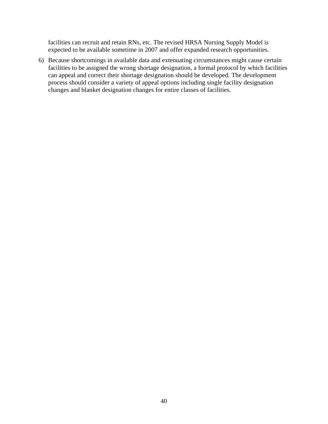facilities can recruit and retain RNs, etc. The revised HRSA Nursing Supply Model is expected to be available sometime in 2007 and offer expanded research opportunities.

6) Because shortcomings in available data and extenuating circumstances might cause certain facilities to be assigned the wrong shortage designation, a formal protocol by which facilities can appeal and correct their shortage designation should be developed. T he development process should consider a variety of appeal options including single facility designation changes and blanket designation changes for entire classes of facilities.